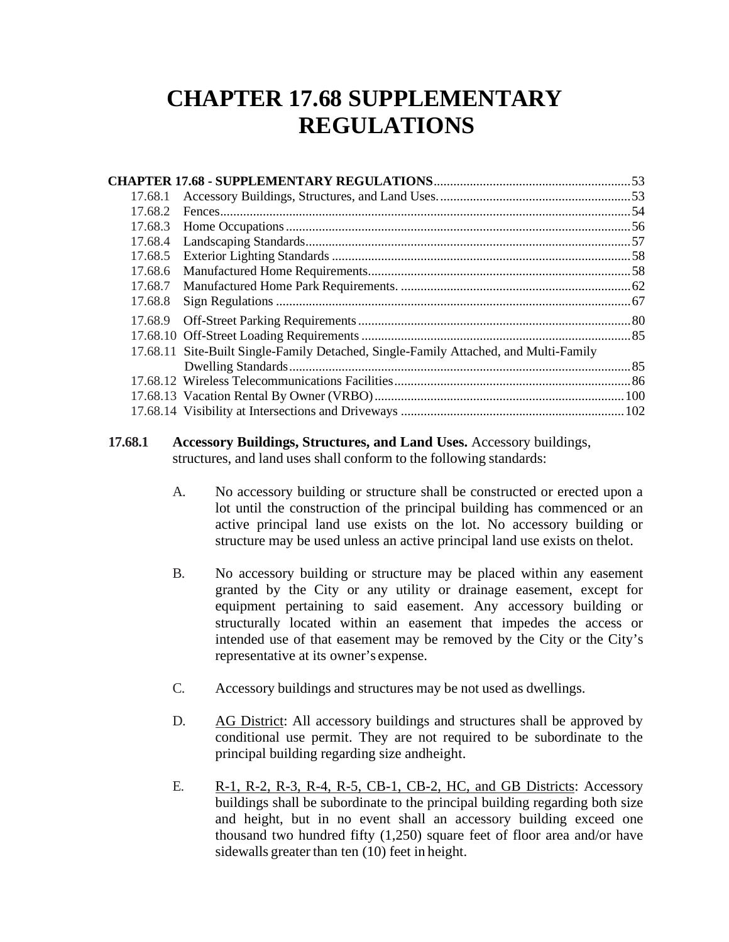# **CHAPTER 17.68 SUPPLEMENTARY REGULATIONS**

| 17.68.1 |                                                                                      |  |
|---------|--------------------------------------------------------------------------------------|--|
| 17.68.2 |                                                                                      |  |
| 17.68.3 |                                                                                      |  |
| 17.68.4 |                                                                                      |  |
| 17.68.5 |                                                                                      |  |
| 17.68.6 |                                                                                      |  |
| 17.68.7 |                                                                                      |  |
| 17.68.8 |                                                                                      |  |
| 17.68.9 |                                                                                      |  |
|         |                                                                                      |  |
|         | 17.68.11 Site-Built Single-Family Detached, Single-Family Attached, and Multi-Family |  |
|         |                                                                                      |  |
|         |                                                                                      |  |
|         |                                                                                      |  |
|         |                                                                                      |  |
|         |                                                                                      |  |

## **17.68.1 Accessory Buildings, Structures, and Land Uses.** Accessory buildings, structures, and land uses shall conform to the following standards:

- A. No accessory building or structure shall be constructed or erected upon a lot until the construction of the principal building has commenced or an active principal land use exists on the lot. No accessory building or structure may be used unless an active principal land use exists on thelot.
- B. No accessory building or structure may be placed within any easement granted by the City or any utility or drainage easement, except for equipment pertaining to said easement. Any accessory building or structurally located within an easement that impedes the access or intended use of that easement may be removed by the City or the City's representative at its owner's expense.
- C. Accessory buildings and structures may be not used as dwellings.
- D. AG District: All accessory buildings and structures shall be approved by conditional use permit. They are not required to be subordinate to the principal building regarding size andheight.
- E. R-1, R-2, R-3, R-4, R-5, CB-1, CB-2, HC, and GB Districts: Accessory buildings shall be subordinate to the principal building regarding both size and height, but in no event shall an accessory building exceed one thousand two hundred fifty (1,250) square feet of floor area and/or have sidewalls greater than ten (10) feet in height.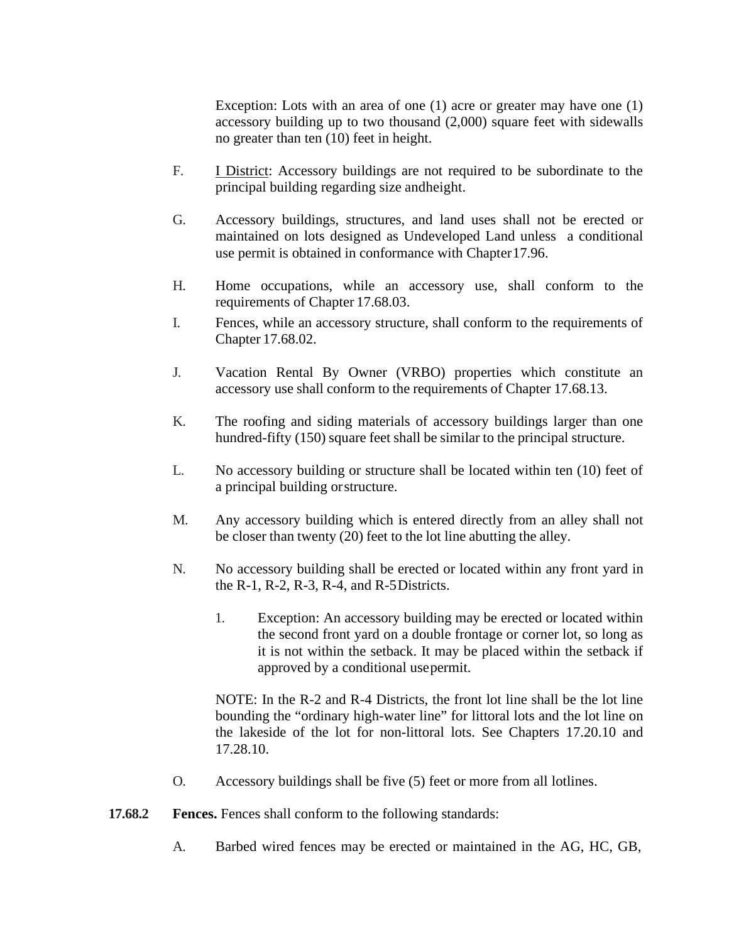Exception: Lots with an area of one (1) acre or greater may have one (1) accessory building up to two thousand (2,000) square feet with sidewalls no greater than ten (10) feet in height.

- F. I District: Accessory buildings are not required to be subordinate to the principal building regarding size andheight.
- G. Accessory buildings, structures, and land uses shall not be erected or maintained on lots designed as Undeveloped Land unless a conditional use permit is obtained in conformance with Chapter17.96.
- H. Home occupations, while an accessory use, shall conform to the requirements of Chapter 17.68.03.
- I. Fences, while an accessory structure, shall conform to the requirements of Chapter 17.68.02.
- J. Vacation Rental By Owner (VRBO) properties which constitute an accessory use shall conform to the requirements of Chapter 17.68.13.
- K. The roofing and siding materials of accessory buildings larger than one hundred-fifty (150) square feet shall be similar to the principal structure.
- L. No accessory building or structure shall be located within ten (10) feet of a principal building orstructure.
- M. Any accessory building which is entered directly from an alley shall not be closer than twenty (20) feet to the lot line abutting the alley.
- N. No accessory building shall be erected or located within any front yard in the R-1, R-2, R-3, R-4, and R-5Districts.
	- 1. Exception: An accessory building may be erected or located within the second front yard on a double frontage or corner lot, so long as it is not within the setback. It may be placed within the setback if approved by a conditional usepermit.

NOTE: In the R-2 and R-4 Districts, the front lot line shall be the lot line bounding the "ordinary high-water line" for littoral lots and the lot line on the lakeside of the lot for non-littoral lots. See Chapters 17.20.10 and 17.28.10.

- O. Accessory buildings shall be five (5) feet or more from all lotlines.
- **17.68.2 Fences.** Fences shall conform to the following standards:
	- A. Barbed wired fences may be erected or maintained in the AG, HC, GB,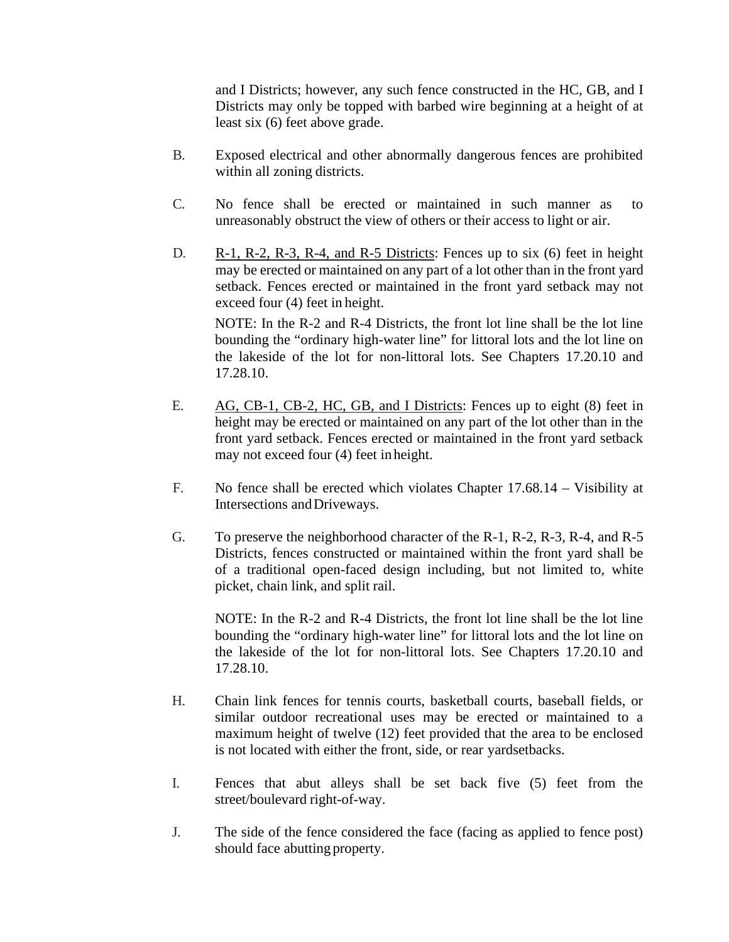and I Districts; however, any such fence constructed in the HC, GB, and I Districts may only be topped with barbed wire beginning at a height of at least six (6) feet above grade.

- B. Exposed electrical and other abnormally dangerous fences are prohibited within all zoning districts.
- C. No fence shall be erected or maintained in such manner as to unreasonably obstruct the view of others or their access to light or air.
- D. R-1, R-2, R-3, R-4, and R-5 Districts: Fences up to six (6) feet in height may be erected or maintained on any part of a lot other than in the front yard setback. Fences erected or maintained in the front yard setback may not exceed four (4) feet in height.

NOTE: In the R-2 and R-4 Districts, the front lot line shall be the lot line bounding the "ordinary high-water line" for littoral lots and the lot line on the lakeside of the lot for non-littoral lots. See Chapters 17.20.10 and 17.28.10.

- E. AG, CB-1, CB-2, HC, GB, and I Districts: Fences up to eight (8) feet in height may be erected or maintained on any part of the lot other than in the front yard setback. Fences erected or maintained in the front yard setback may not exceed four (4) feet in height.
- F. No fence shall be erected which violates Chapter 17.68.14 Visibility at Intersections andDriveways.
- G. To preserve the neighborhood character of the R-1, R-2, R-3, R-4, and R-5 Districts, fences constructed or maintained within the front yard shall be of a traditional open-faced design including, but not limited to, white picket, chain link, and split rail.

NOTE: In the R-2 and R-4 Districts, the front lot line shall be the lot line bounding the "ordinary high-water line" for littoral lots and the lot line on the lakeside of the lot for non-littoral lots. See Chapters 17.20.10 and 17.28.10.

- H. Chain link fences for tennis courts, basketball courts, baseball fields, or similar outdoor recreational uses may be erected or maintained to a maximum height of twelve (12) feet provided that the area to be enclosed is not located with either the front, side, or rear yardsetbacks.
- I. Fences that abut alleys shall be set back five (5) feet from the street/boulevard right-of-way.
- J. The side of the fence considered the face (facing as applied to fence post) should face abutting property.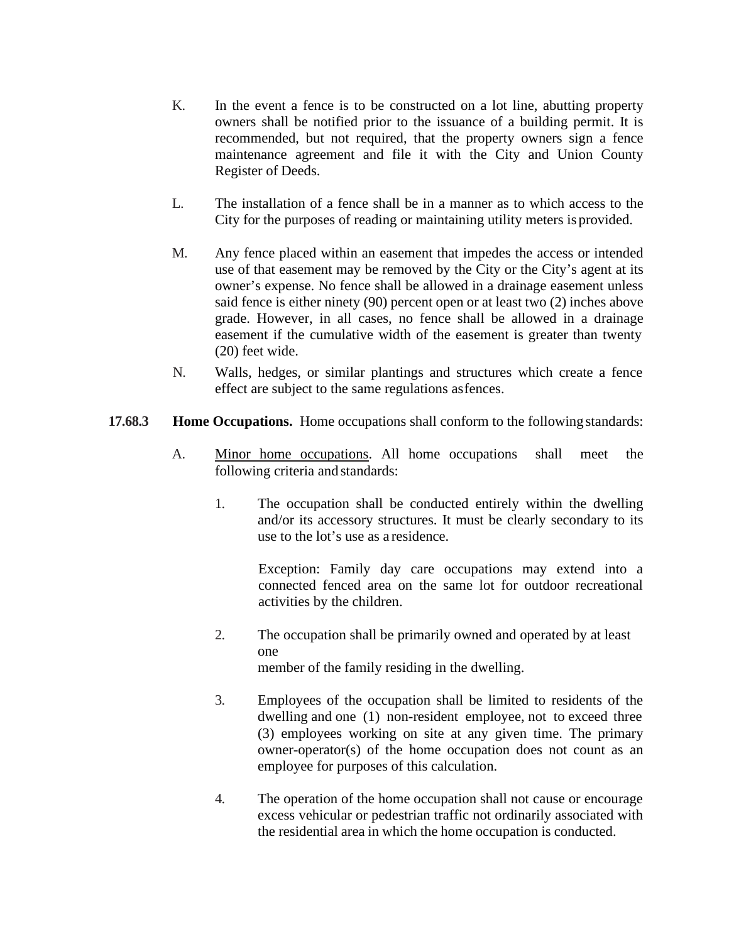- K. In the event a fence is to be constructed on a lot line, abutting property owners shall be notified prior to the issuance of a building permit. It is recommended, but not required, that the property owners sign a fence maintenance agreement and file it with the City and Union County Register of Deeds.
- L. The installation of a fence shall be in a manner as to which access to the City for the purposes of reading or maintaining utility meters is provided.
- M. Any fence placed within an easement that impedes the access or intended use of that easement may be removed by the City or the City's agent at its owner's expense. No fence shall be allowed in a drainage easement unless said fence is either ninety (90) percent open or at least two (2) inches above grade. However, in all cases, no fence shall be allowed in a drainage easement if the cumulative width of the easement is greater than twenty (20) feet wide.
- N. Walls, hedges, or similar plantings and structures which create a fence effect are subject to the same regulations asfences.
- **17.68.3 Home Occupations.** Home occupations shall conform to the following standards:
	- A. Minor home occupations. All home occupations shall meet the following criteria and standards:
		- 1. The occupation shall be conducted entirely within the dwelling and/or its accessory structures. It must be clearly secondary to its use to the lot's use as a residence.

Exception: Family day care occupations may extend into a connected fenced area on the same lot for outdoor recreational activities by the children.

- 2. The occupation shall be primarily owned and operated by at least one member of the family residing in the dwelling.
- 3. Employees of the occupation shall be limited to residents of the dwelling and one (1) non-resident employee, not to exceed three (3) employees working on site at any given time. The primary owner-operator(s) of the home occupation does not count as an employee for purposes of this calculation.
- 4. The operation of the home occupation shall not cause or encourage excess vehicular or pedestrian traffic not ordinarily associated with the residential area in which the home occupation is conducted.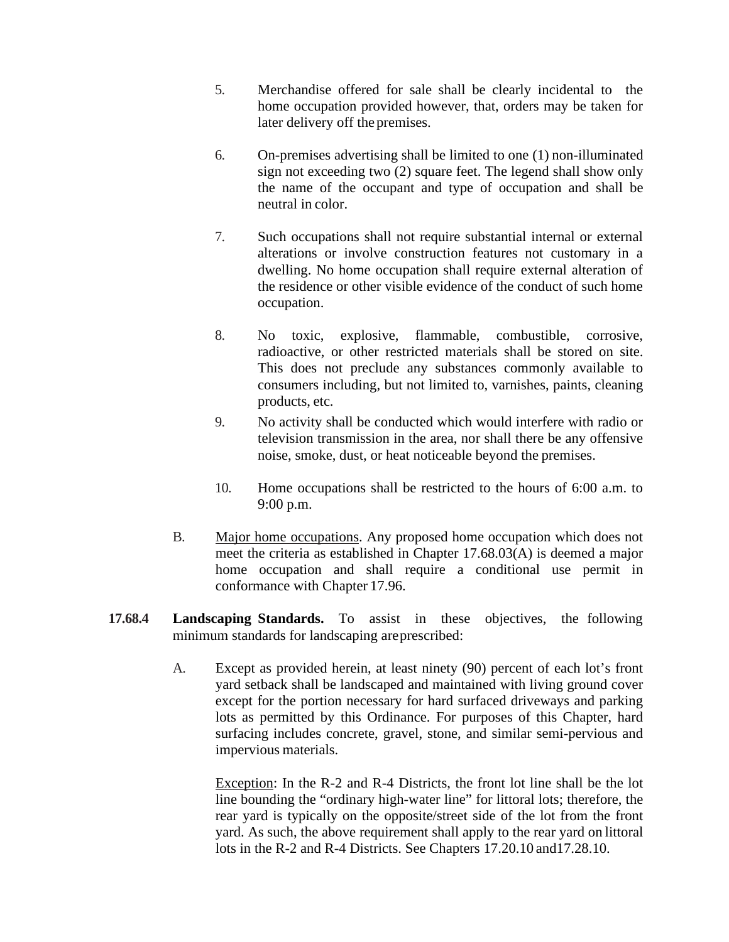- 5. Merchandise offered for sale shall be clearly incidental to the home occupation provided however, that, orders may be taken for later delivery off the premises.
- 6. On-premises advertising shall be limited to one (1) non-illuminated sign not exceeding two (2) square feet. The legend shall show only the name of the occupant and type of occupation and shall be neutral in color.
- 7. Such occupations shall not require substantial internal or external alterations or involve construction features not customary in a dwelling. No home occupation shall require external alteration of the residence or other visible evidence of the conduct of such home occupation.
- 8. No toxic, explosive, flammable, combustible, corrosive, radioactive, or other restricted materials shall be stored on site. This does not preclude any substances commonly available to consumers including, but not limited to, varnishes, paints, cleaning products, etc.
- 9. No activity shall be conducted which would interfere with radio or television transmission in the area, nor shall there be any offensive noise, smoke, dust, or heat noticeable beyond the premises.
- 10. Home occupations shall be restricted to the hours of 6:00 a.m. to 9:00 p.m.
- B. Major home occupations. Any proposed home occupation which does not meet the criteria as established in Chapter 17.68.03(A) is deemed a major home occupation and shall require a conditional use permit in conformance with Chapter 17.96.
- **17.68.4 Landscaping Standards.** To assist in these objectives, the following minimum standards for landscaping areprescribed:
	- A. Except as provided herein, at least ninety (90) percent of each lot's front yard setback shall be landscaped and maintained with living ground cover except for the portion necessary for hard surfaced driveways and parking lots as permitted by this Ordinance. For purposes of this Chapter, hard surfacing includes concrete, gravel, stone, and similar semi-pervious and impervious materials.

Exception: In the R-2 and R-4 Districts, the front lot line shall be the lot line bounding the "ordinary high-water line" for littoral lots; therefore, the rear yard is typically on the opposite/street side of the lot from the front yard. As such, the above requirement shall apply to the rear yard on littoral lots in the R-2 and R-4 Districts. See Chapters 17.20.10 and17.28.10.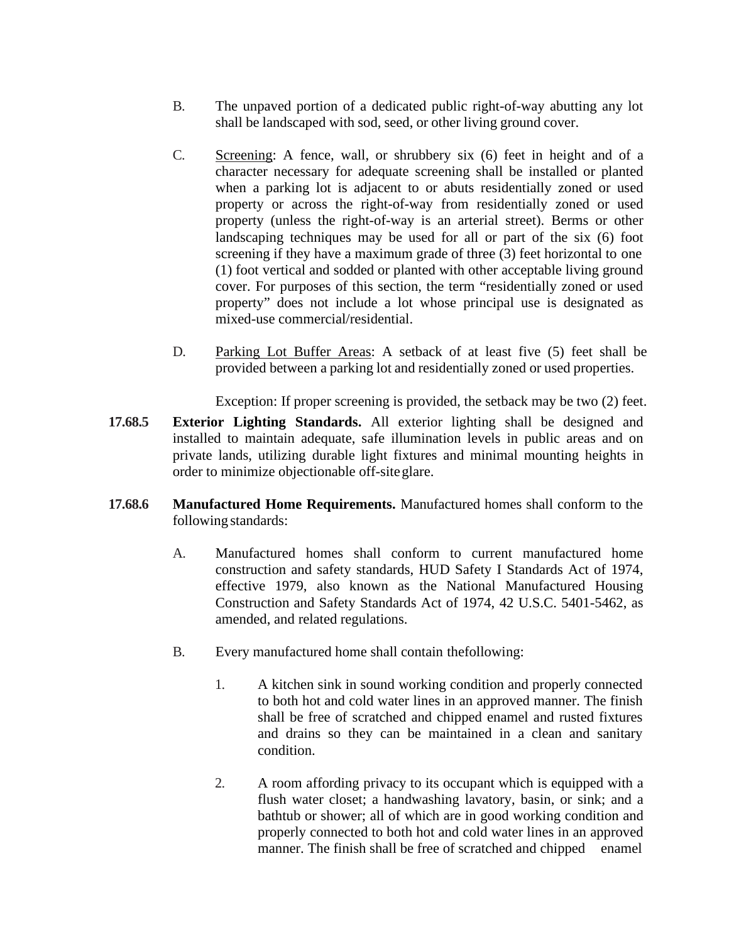- B. The unpaved portion of a dedicated public right-of-way abutting any lot shall be landscaped with sod, seed, or other living ground cover.
- C. Screening: A fence, wall, or shrubbery six (6) feet in height and of a character necessary for adequate screening shall be installed or planted when a parking lot is adjacent to or abuts residentially zoned or used property or across the right-of-way from residentially zoned or used property (unless the right-of-way is an arterial street). Berms or other landscaping techniques may be used for all or part of the six (6) foot screening if they have a maximum grade of three (3) feet horizontal to one (1) foot vertical and sodded or planted with other acceptable living ground cover. For purposes of this section, the term "residentially zoned or used property" does not include a lot whose principal use is designated as mixed-use commercial/residential.
- D. Parking Lot Buffer Areas: A setback of at least five (5) feet shall be provided between a parking lot and residentially zoned or used properties.

Exception: If proper screening is provided, the setback may be two (2) feet.

- **17.68.5 Exterior Lighting Standards.** All exterior lighting shall be designed and installed to maintain adequate, safe illumination levels in public areas and on private lands, utilizing durable light fixtures and minimal mounting heights in order to minimize objectionable off-siteglare.
- **17.68.6 Manufactured Home Requirements.** Manufactured homes shall conform to the following standards:
	- A. Manufactured homes shall conform to current manufactured home construction and safety standards, HUD Safety I Standards Act of 1974, effective 1979, also known as the National Manufactured Housing Construction and Safety Standards Act of 1974, 42 U.S.C. 5401-5462, as amended, and related regulations.
	- B. Every manufactured home shall contain thefollowing:
		- 1. A kitchen sink in sound working condition and properly connected to both hot and cold water lines in an approved manner. The finish shall be free of scratched and chipped enamel and rusted fixtures and drains so they can be maintained in a clean and sanitary condition.
		- 2. A room affording privacy to its occupant which is equipped with a flush water closet; a handwashing lavatory, basin, or sink; and a bathtub or shower; all of which are in good working condition and properly connected to both hot and cold water lines in an approved manner. The finish shall be free of scratched and chipped enamel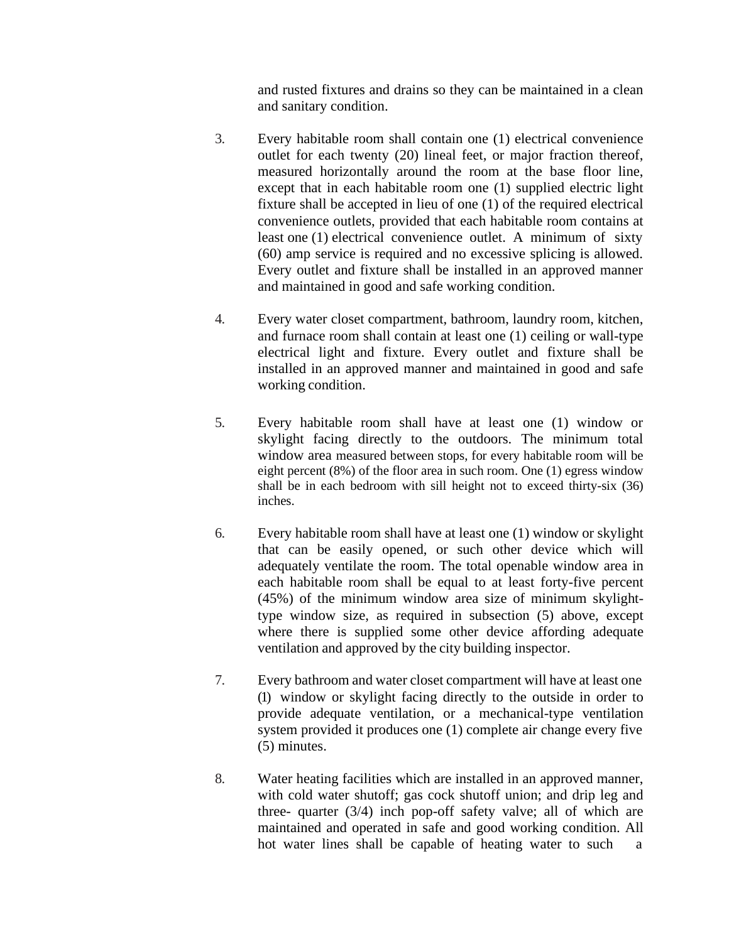and rusted fixtures and drains so they can be maintained in a clean and sanitary condition.

- 3. Every habitable room shall contain one (1) electrical convenience outlet for each twenty (20) lineal feet, or major fraction thereof, measured horizontally around the room at the base floor line, except that in each habitable room one (1) supplied electric light fixture shall be accepted in lieu of one (1) of the required electrical convenience outlets, provided that each habitable room contains at least one (1) electrical convenience outlet. A minimum of sixty (60) amp service is required and no excessive splicing is allowed. Every outlet and fixture shall be installed in an approved manner and maintained in good and safe working condition.
- 4. Every water closet compartment, bathroom, laundry room, kitchen, and furnace room shall contain at least one (1) ceiling or wall-type electrical light and fixture. Every outlet and fixture shall be installed in an approved manner and maintained in good and safe working condition.
- 5. Every habitable room shall have at least one (1) window or skylight facing directly to the outdoors. The minimum total window area measured between stops, for every habitable room will be eight percent (8%) of the floor area in such room. One (1) egress window shall be in each bedroom with sill height not to exceed thirty-six (36) inches.
- 6. Every habitable room shall have at least one (1) window or skylight that can be easily opened, or such other device which will adequately ventilate the room. The total openable window area in each habitable room shall be equal to at least forty-five percent (45%) of the minimum window area size of minimum skylighttype window size, as required in subsection (5) above, except where there is supplied some other device affording adequate ventilation and approved by the city building inspector.
- 7. Every bathroom and water closet compartment will have at least one (1) window or skylight facing directly to the outside in order to provide adequate ventilation, or a mechanical-type ventilation system provided it produces one (1) complete air change every five (5) minutes.
- 8. Water heating facilities which are installed in an approved manner, with cold water shutoff; gas cock shutoff union; and drip leg and three- quarter (3/4) inch pop-off safety valve; all of which are maintained and operated in safe and good working condition. All hot water lines shall be capable of heating water to such a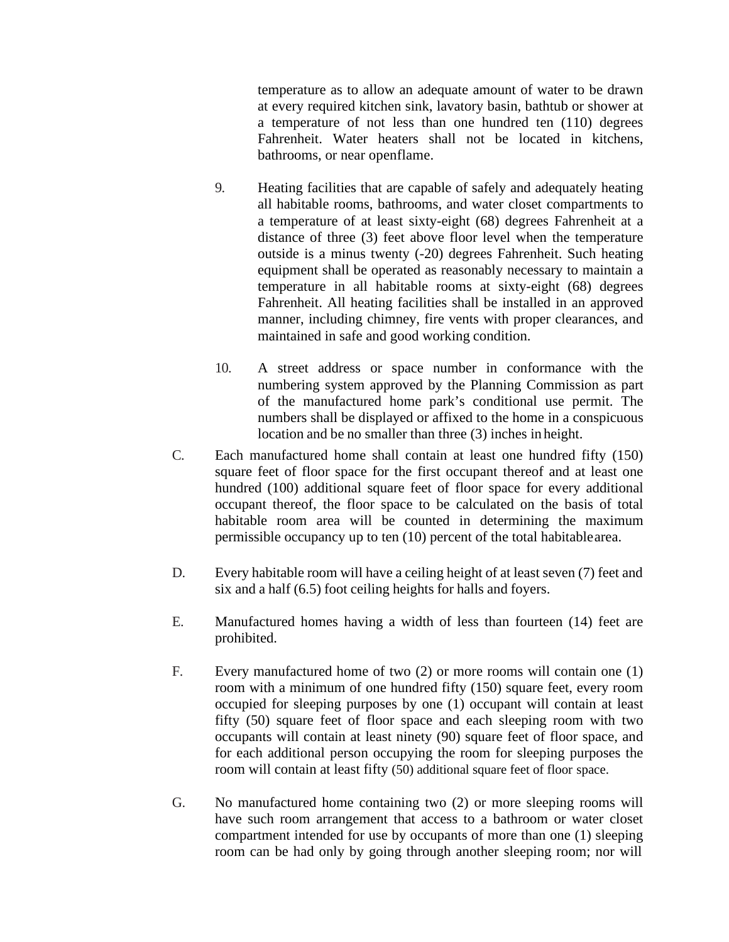temperature as to allow an adequate amount of water to be drawn at every required kitchen sink, lavatory basin, bathtub or shower at a temperature of not less than one hundred ten (110) degrees Fahrenheit. Water heaters shall not be located in kitchens, bathrooms, or near openflame.

- 9. Heating facilities that are capable of safely and adequately heating all habitable rooms, bathrooms, and water closet compartments to a temperature of at least sixty-eight (68) degrees Fahrenheit at a distance of three (3) feet above floor level when the temperature outside is a minus twenty (-20) degrees Fahrenheit. Such heating equipment shall be operated as reasonably necessary to maintain a temperature in all habitable rooms at sixty-eight (68) degrees Fahrenheit. All heating facilities shall be installed in an approved manner, including chimney, fire vents with proper clearances, and maintained in safe and good working condition.
- 10. A street address or space number in conformance with the numbering system approved by the Planning Commission as part of the manufactured home park's conditional use permit. The numbers shall be displayed or affixed to the home in a conspicuous location and be no smaller than three (3) inches in height.
- C. Each manufactured home shall contain at least one hundred fifty (150) square feet of floor space for the first occupant thereof and at least one hundred (100) additional square feet of floor space for every additional occupant thereof, the floor space to be calculated on the basis of total habitable room area will be counted in determining the maximum permissible occupancy up to ten (10) percent of the total habitablearea.
- D. Every habitable room will have a ceiling height of at least seven (7) feet and six and a half (6.5) foot ceiling heights for halls and foyers.
- E. Manufactured homes having a width of less than fourteen (14) feet are prohibited.
- F. Every manufactured home of two (2) or more rooms will contain one (1) room with a minimum of one hundred fifty (150) square feet, every room occupied for sleeping purposes by one (1) occupant will contain at least fifty (50) square feet of floor space and each sleeping room with two occupants will contain at least ninety (90) square feet of floor space, and for each additional person occupying the room for sleeping purposes the room will contain at least fifty (50) additional square feet of floor space.
- G. No manufactured home containing two (2) or more sleeping rooms will have such room arrangement that access to a bathroom or water closet compartment intended for use by occupants of more than one (1) sleeping room can be had only by going through another sleeping room; nor will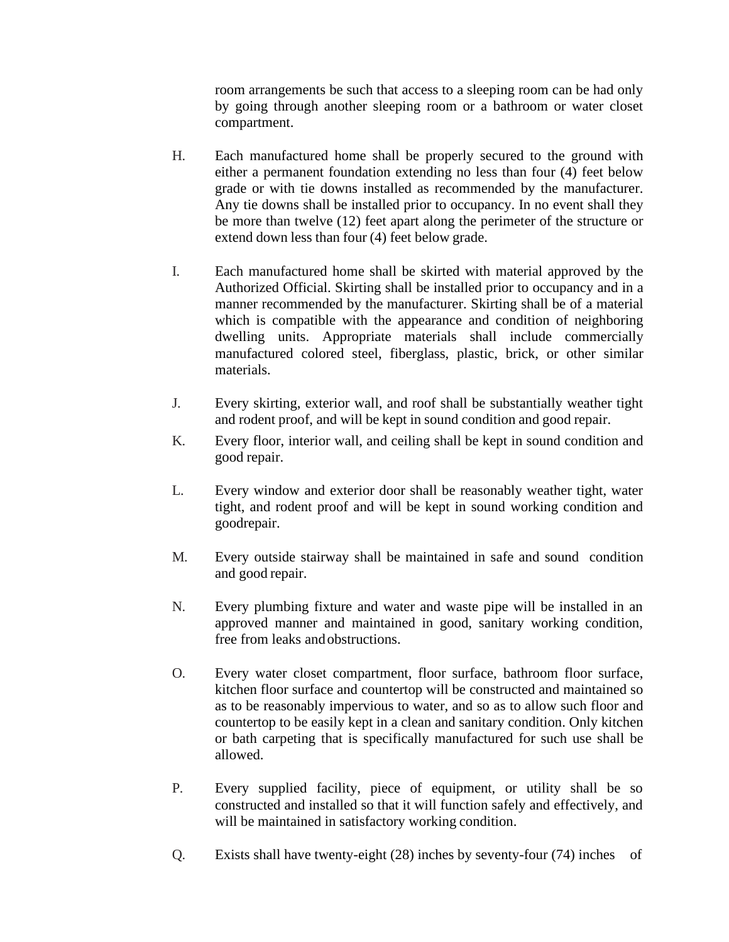room arrangements be such that access to a sleeping room can be had only by going through another sleeping room or a bathroom or water closet compartment.

- H. Each manufactured home shall be properly secured to the ground with either a permanent foundation extending no less than four (4) feet below grade or with tie downs installed as recommended by the manufacturer. Any tie downs shall be installed prior to occupancy. In no event shall they be more than twelve (12) feet apart along the perimeter of the structure or extend down less than four (4) feet below grade.
- I. Each manufactured home shall be skirted with material approved by the Authorized Official. Skirting shall be installed prior to occupancy and in a manner recommended by the manufacturer. Skirting shall be of a material which is compatible with the appearance and condition of neighboring dwelling units. Appropriate materials shall include commercially manufactured colored steel, fiberglass, plastic, brick, or other similar materials.
- J. Every skirting, exterior wall, and roof shall be substantially weather tight and rodent proof, and will be kept in sound condition and good repair.
- K. Every floor, interior wall, and ceiling shall be kept in sound condition and good repair.
- L. Every window and exterior door shall be reasonably weather tight, water tight, and rodent proof and will be kept in sound working condition and goodrepair.
- M. Every outside stairway shall be maintained in safe and sound condition and good repair.
- N. Every plumbing fixture and water and waste pipe will be installed in an approved manner and maintained in good, sanitary working condition, free from leaks andobstructions.
- O. Every water closet compartment, floor surface, bathroom floor surface, kitchen floor surface and countertop will be constructed and maintained so as to be reasonably impervious to water, and so as to allow such floor and countertop to be easily kept in a clean and sanitary condition. Only kitchen or bath carpeting that is specifically manufactured for such use shall be allowed.
- P. Every supplied facility, piece of equipment, or utility shall be so constructed and installed so that it will function safely and effectively, and will be maintained in satisfactory working condition.
- Q. Exists shall have twenty-eight (28) inches by seventy-four (74) inches of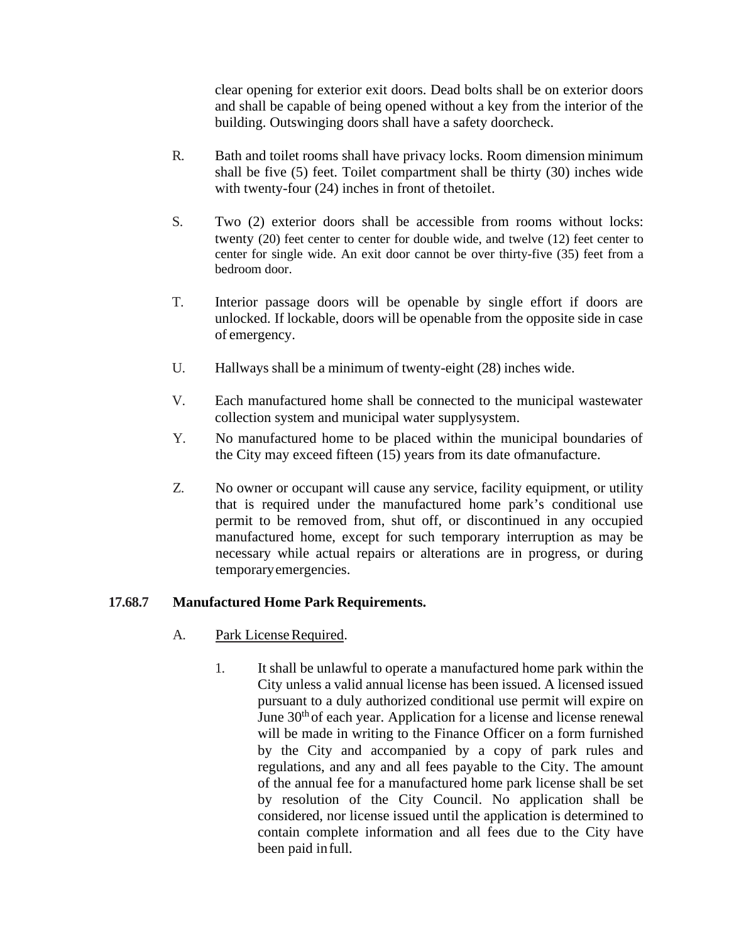clear opening for exterior exit doors. Dead bolts shall be on exterior doors and shall be capable of being opened without a key from the interior of the building. Outswinging doors shall have a safety doorcheck.

- R. Bath and toilet rooms shall have privacy locks. Room dimension minimum shall be five (5) feet. Toilet compartment shall be thirty (30) inches wide with twenty-four (24) inches in front of thetoilet.
- S. Two (2) exterior doors shall be accessible from rooms without locks: twenty (20) feet center to center for double wide, and twelve (12) feet center to center for single wide. An exit door cannot be over thirty-five (35) feet from a bedroom door.
- T. Interior passage doors will be openable by single effort if doors are unlocked. If lockable, doors will be openable from the opposite side in case of emergency.
- U. Hallways shall be a minimum of twenty-eight (28) inches wide.
- V. Each manufactured home shall be connected to the municipal wastewater collection system and municipal water supplysystem.
- Y. No manufactured home to be placed within the municipal boundaries of the City may exceed fifteen (15) years from its date ofmanufacture.
- Z. No owner or occupant will cause any service, facility equipment, or utility that is required under the manufactured home park's conditional use permit to be removed from, shut off, or discontinued in any occupied manufactured home, except for such temporary interruption as may be necessary while actual repairs or alterations are in progress, or during temporaryemergencies.

#### <span id="page-9-0"></span>**17.68.7 Manufactured Home Park Requirements.**

- A. Park License Required.
	- 1. It shall be unlawful to operate a manufactured home park within the City unless a valid annual license has been issued. A licensed issued pursuant to a duly authorized conditional use permit will expire on June  $30<sup>th</sup>$  of each year. Application for a license and license renewal will be made in writing to the Finance Officer on a form furnished by the City and accompanied by a copy of park rules and regulations, and any and all fees payable to the City. The amount of the annual fee for a manufactured home park license shall be set by resolution of the City Council. No application shall be considered, nor license issued until the application is determined to contain complete information and all fees due to the City have been paid infull.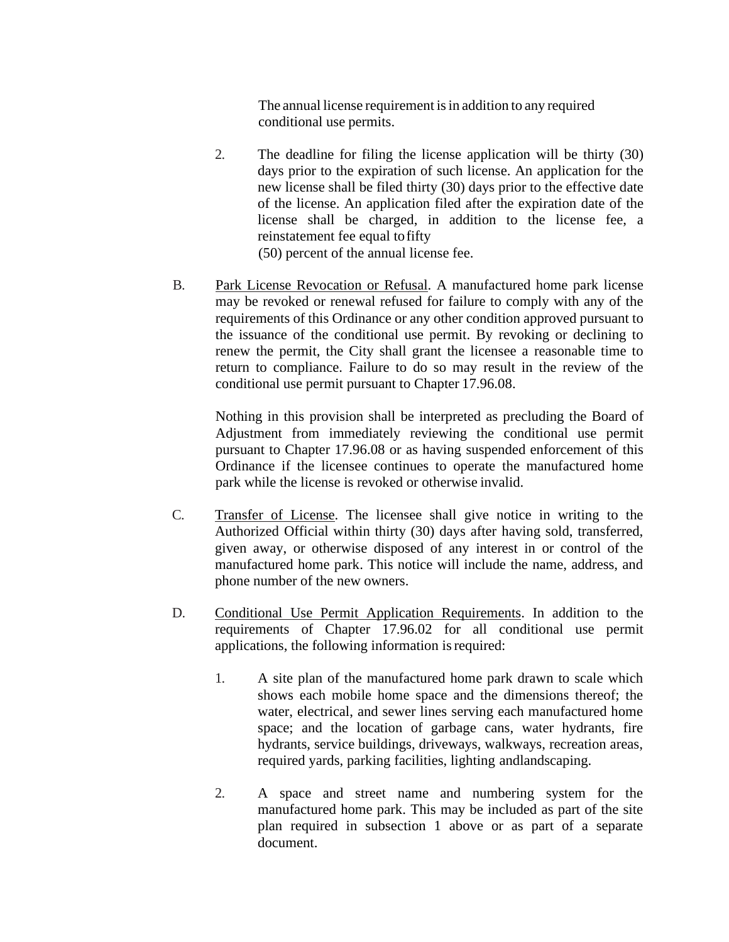The annual license requirement is in addition to any required conditional use permits.

2. The deadline for filing the license application will be thirty (30) days prior to the expiration of such license. An application for the new license shall be filed thirty (30) days prior to the effective date of the license. An application filed after the expiration date of the license shall be charged, in addition to the license fee, a reinstatement fee equal tofifty

(50) percent of the annual license fee.

B. Park License Revocation or Refusal. A manufactured home park license may be revoked or renewal refused for failure to comply with any of the requirements of this Ordinance or any other condition approved pursuant to the issuance of the conditional use permit. By revoking or declining to renew the permit, the City shall grant the licensee a reasonable time to return to compliance. Failure to do so may result in the review of the conditional use permit pursuant to Chapter 17.96.08.

Nothing in this provision shall be interpreted as precluding the Board of Adjustment from immediately reviewing the conditional use permit pursuant to Chapter 17.96.08 or as having suspended enforcement of this Ordinance if the licensee continues to operate the manufactured home park while the license is revoked or otherwise invalid.

- C. Transfer of License. The licensee shall give notice in writing to the Authorized Official within thirty (30) days after having sold, transferred, given away, or otherwise disposed of any interest in or control of the manufactured home park. This notice will include the name, address, and phone number of the new owners.
- D. Conditional Use Permit Application Requirements. In addition to the requirements of Chapter 17.96.02 for all conditional use permit applications, the following information isrequired:
	- 1. A site plan of the manufactured home park drawn to scale which shows each mobile home space and the dimensions thereof; the water, electrical, and sewer lines serving each manufactured home space; and the location of garbage cans, water hydrants, fire hydrants, service buildings, driveways, walkways, recreation areas, required yards, parking facilities, lighting andlandscaping.
	- 2. A space and street name and numbering system for the manufactured home park. This may be included as part of the site plan required in subsection 1 above or as part of a separate document.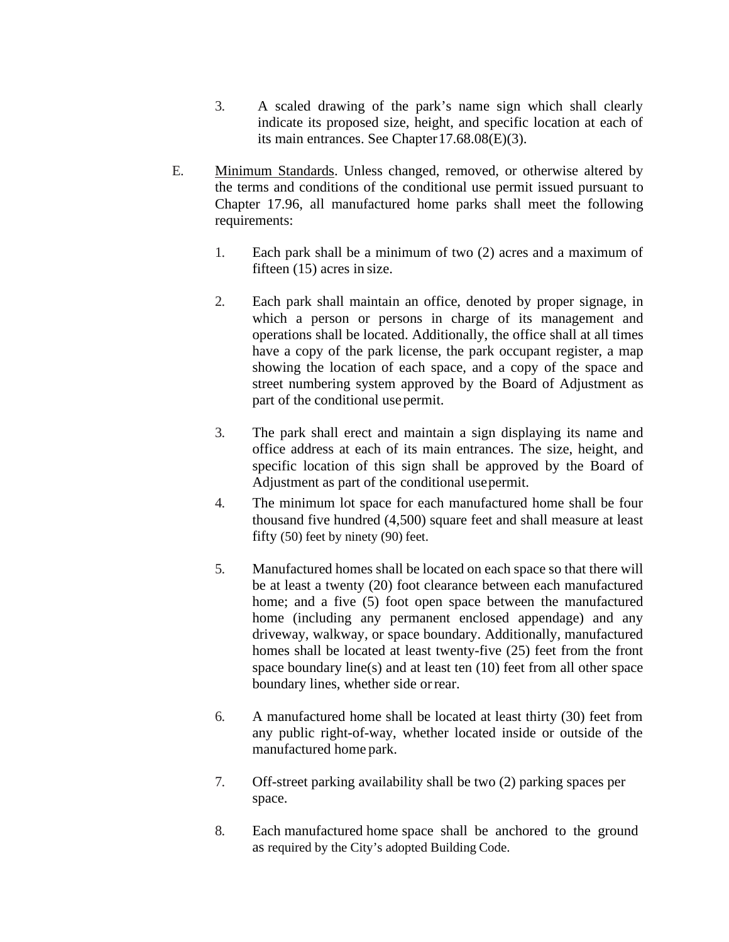- 3. A scaled drawing of the park's name sign which shall clearly indicate its proposed size, height, and specific location at each of its main entrances. See Chapter17.68.08(E)(3).
- E. Minimum Standards. Unless changed, removed, or otherwise altered by the terms and conditions of the conditional use permit issued pursuant to Chapter 17.96, all manufactured home parks shall meet the following requirements:
	- 1. Each park shall be a minimum of two (2) acres and a maximum of fifteen (15) acres in size.
	- 2. Each park shall maintain an office, denoted by proper signage, in which a person or persons in charge of its management and operations shall be located. Additionally, the office shall at all times have a copy of the park license, the park occupant register, a map showing the location of each space, and a copy of the space and street numbering system approved by the Board of Adjustment as part of the conditional usepermit.
	- 3. The park shall erect and maintain a sign displaying its name and office address at each of its main entrances. The size, height, and specific location of this sign shall be approved by the Board of Adjustment as part of the conditional usepermit.
	- 4. The minimum lot space for each manufactured home shall be four thousand five hundred (4,500) square feet and shall measure at least fifty (50) feet by ninety (90) feet.
	- 5. Manufactured homes shall be located on each space so that there will be at least a twenty (20) foot clearance between each manufactured home; and a five (5) foot open space between the manufactured home (including any permanent enclosed appendage) and any driveway, walkway, or space boundary. Additionally, manufactured homes shall be located at least twenty-five (25) feet from the front space boundary line(s) and at least ten (10) feet from all other space boundary lines, whether side orrear.
	- 6. A manufactured home shall be located at least thirty (30) feet from any public right-of-way, whether located inside or outside of the manufactured home park.
	- 7. Off-street parking availability shall be two (2) parking spaces per space.
	- 8. Each manufactured home space shall be anchored to the ground as required by the City's adopted Building Code.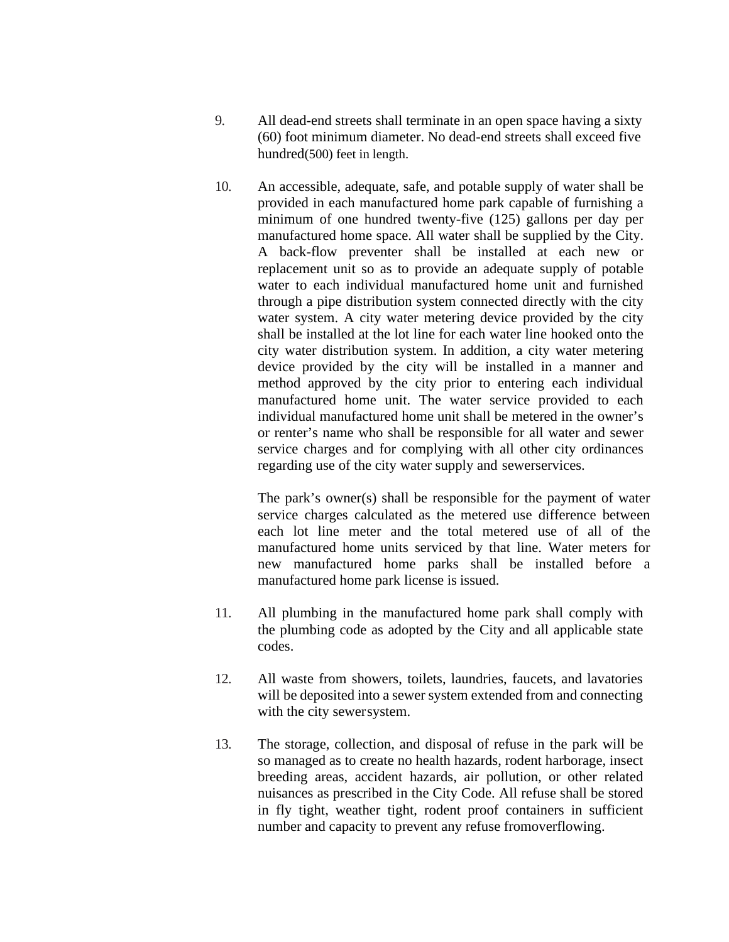- 9. All dead-end streets shall terminate in an open space having a sixty (60) foot minimum diameter. No dead-end streets shall exceed five hundred(500) feet in length.
- 10. An accessible, adequate, safe, and potable supply of water shall be provided in each manufactured home park capable of furnishing a minimum of one hundred twenty-five (125) gallons per day per manufactured home space. All water shall be supplied by the City. A back-flow preventer shall be installed at each new or replacement unit so as to provide an adequate supply of potable water to each individual manufactured home unit and furnished through a pipe distribution system connected directly with the city water system. A city water metering device provided by the city shall be installed at the lot line for each water line hooked onto the city water distribution system. In addition, a city water metering device provided by the city will be installed in a manner and method approved by the city prior to entering each individual manufactured home unit. The water service provided to each individual manufactured home unit shall be metered in the owner's or renter's name who shall be responsible for all water and sewer service charges and for complying with all other city ordinances regarding use of the city water supply and sewerservices.

The park's owner(s) shall be responsible for the payment of water service charges calculated as the metered use difference between each lot line meter and the total metered use of all of the manufactured home units serviced by that line. Water meters for new manufactured home parks shall be installed before a manufactured home park license is issued.

- 11. All plumbing in the manufactured home park shall comply with the plumbing code as adopted by the City and all applicable state codes.
- 12. All waste from showers, toilets, laundries, faucets, and lavatories will be deposited into a sewer system extended from and connecting with the city sewersystem.
- 13. The storage, collection, and disposal of refuse in the park will be so managed as to create no health hazards, rodent harborage, insect breeding areas, accident hazards, air pollution, or other related nuisances as prescribed in the City Code. All refuse shall be stored in fly tight, weather tight, rodent proof containers in sufficient number and capacity to prevent any refuse fromoverflowing.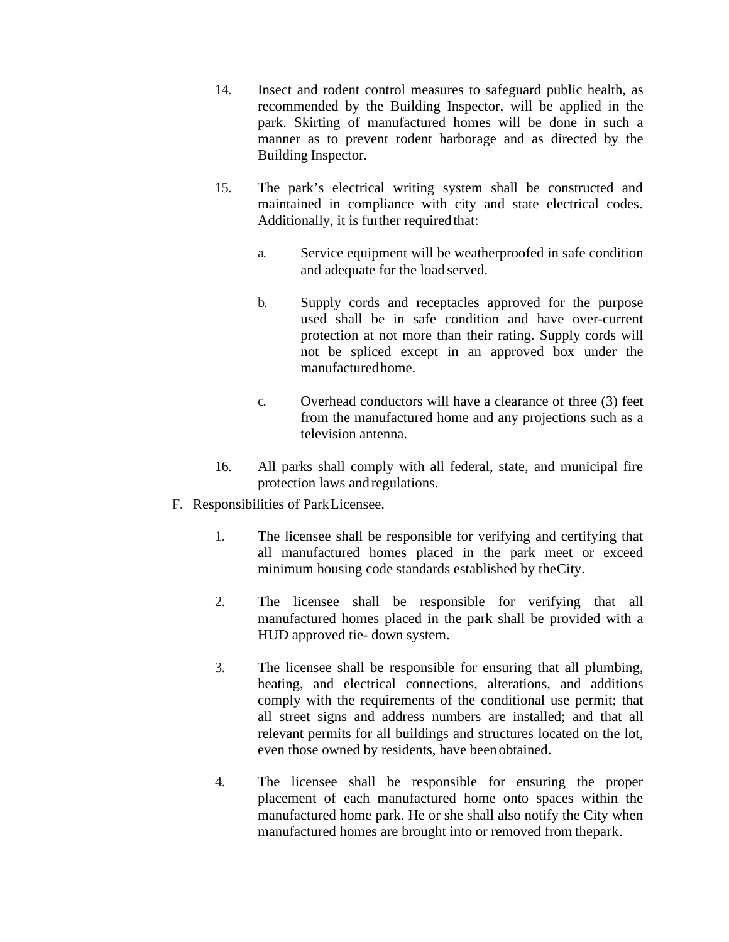- 14. Insect and rodent control measures to safeguard public health, as recommended by the Building Inspector, will be applied in the park. Skirting of manufactured homes will be done in such a manner as to prevent rodent harborage and as directed by the Building Inspector.
- 15. The park's electrical writing system shall be constructed and maintained in compliance with city and state electrical codes. Additionally, it is further required that:
	- a. Service equipment will be weatherproofed in safe condition and adequate for the load served.
	- b. Supply cords and receptacles approved for the purpose used shall be in safe condition and have over-current protection at not more than their rating. Supply cords will not be spliced except in an approved box under the manufacturedhome.
	- c. Overhead conductors will have a clearance of three (3) feet from the manufactured home and any projections such as a television antenna.
- 16. All parks shall comply with all federal, state, and municipal fire protection laws and regulations.
- F. Responsibilities of ParkLicensee.
	- 1. The licensee shall be responsible for verifying and certifying that all manufactured homes placed in the park meet or exceed minimum housing code standards established by theCity.
	- 2. The licensee shall be responsible for verifying that all manufactured homes placed in the park shall be provided with a HUD approved tie- down system.
	- 3. The licensee shall be responsible for ensuring that all plumbing, heating, and electrical connections, alterations, and additions comply with the requirements of the conditional use permit; that all street signs and address numbers are installed; and that all relevant permits for all buildings and structures located on the lot, even those owned by residents, have been obtained.
	- 4. The licensee shall be responsible for ensuring the proper placement of each manufactured home onto spaces within the manufactured home park. He or she shall also notify the City when manufactured homes are brought into or removed from thepark.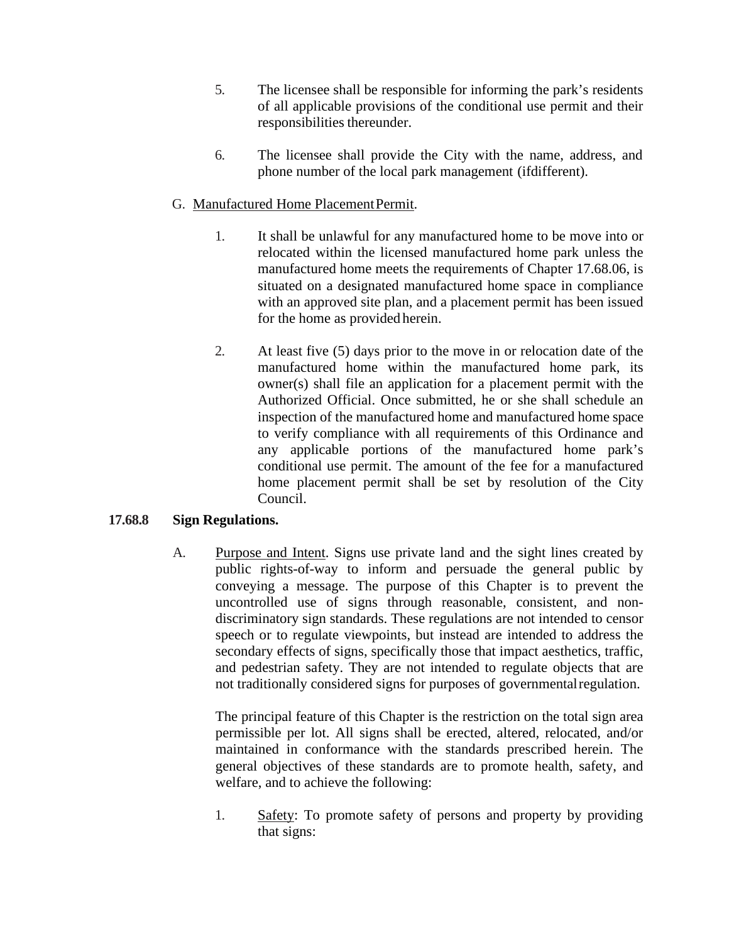- 5. The licensee shall be responsible for informing the park's residents of all applicable provisions of the conditional use permit and their responsibilities thereunder.
- 6. The licensee shall provide the City with the name, address, and phone number of the local park management (ifdifferent).

## G. Manufactured Home PlacementPermit.

- 1. It shall be unlawful for any manufactured home to be move into or relocated within the licensed manufactured home park unless the manufactured home meets the requirements of Chapter 17.68.06, is situated on a designated manufactured home space in compliance with an approved site plan, and a placement permit has been issued for the home as provided herein.
- 2. At least five (5) days prior to the move in or relocation date of the manufactured home within the manufactured home park, its owner(s) shall file an application for a placement permit with the Authorized Official. Once submitted, he or she shall schedule an inspection of the manufactured home and manufactured home space to verify compliance with all requirements of this Ordinance and any applicable portions of the manufactured home park's conditional use permit. The amount of the fee for a manufactured home placement permit shall be set by resolution of the City Council.

#### <span id="page-14-0"></span>**17.68.8 Sign Regulations.**

A. Purpose and Intent. Signs use private land and the sight lines created by public rights-of-way to inform and persuade the general public by conveying a message. The purpose of this Chapter is to prevent the uncontrolled use of signs through reasonable, consistent, and nondiscriminatory sign standards. These regulations are not intended to censor speech or to regulate viewpoints, but instead are intended to address the secondary effects of signs, specifically those that impact aesthetics, traffic, and pedestrian safety. They are not intended to regulate objects that are not traditionally considered signs for purposes of governmentalregulation.

The principal feature of this Chapter is the restriction on the total sign area permissible per lot. All signs shall be erected, altered, relocated, and/or maintained in conformance with the standards prescribed herein. The general objectives of these standards are to promote health, safety, and welfare, and to achieve the following:

1. Safety: To promote safety of persons and property by providing that signs: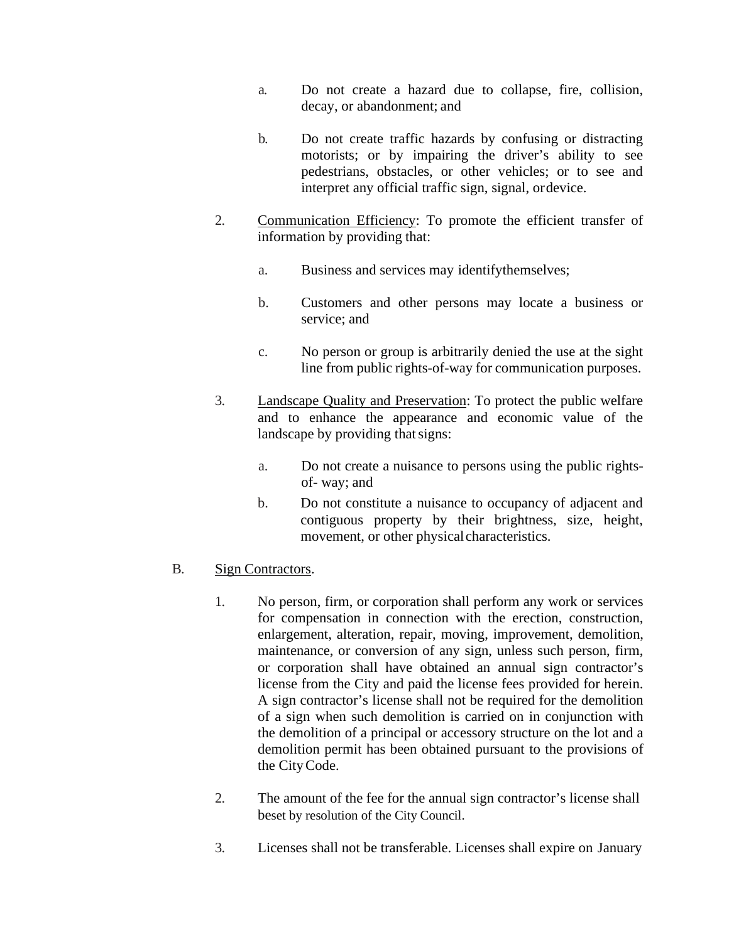- a. Do not create a hazard due to collapse, fire, collision, decay, or abandonment; and
- b. Do not create traffic hazards by confusing or distracting motorists; or by impairing the driver's ability to see pedestrians, obstacles, or other vehicles; or to see and interpret any official traffic sign, signal, ordevice.
- 2. Communication Efficiency: To promote the efficient transfer of information by providing that:
	- a. Business and services may identifythemselves;
	- b. Customers and other persons may locate a business or service; and
	- c. No person or group is arbitrarily denied the use at the sight line from public rights-of-way for communication purposes.
- 3. Landscape Quality and Preservation: To protect the public welfare and to enhance the appearance and economic value of the landscape by providing that signs:
	- a. Do not create a nuisance to persons using the public rightsof- way; and
	- b. Do not constitute a nuisance to occupancy of adjacent and contiguous property by their brightness, size, height, movement, or other physical characteristics.

#### B. Sign Contractors.

- 1. No person, firm, or corporation shall perform any work or services for compensation in connection with the erection, construction, enlargement, alteration, repair, moving, improvement, demolition, maintenance, or conversion of any sign, unless such person, firm, or corporation shall have obtained an annual sign contractor's license from the City and paid the license fees provided for herein. A sign contractor's license shall not be required for the demolition of a sign when such demolition is carried on in conjunction with the demolition of a principal or accessory structure on the lot and a demolition permit has been obtained pursuant to the provisions of the CityCode.
- 2. The amount of the fee for the annual sign contractor's license shall beset by resolution of the City Council.
- 3. Licenses shall not be transferable. Licenses shall expire on January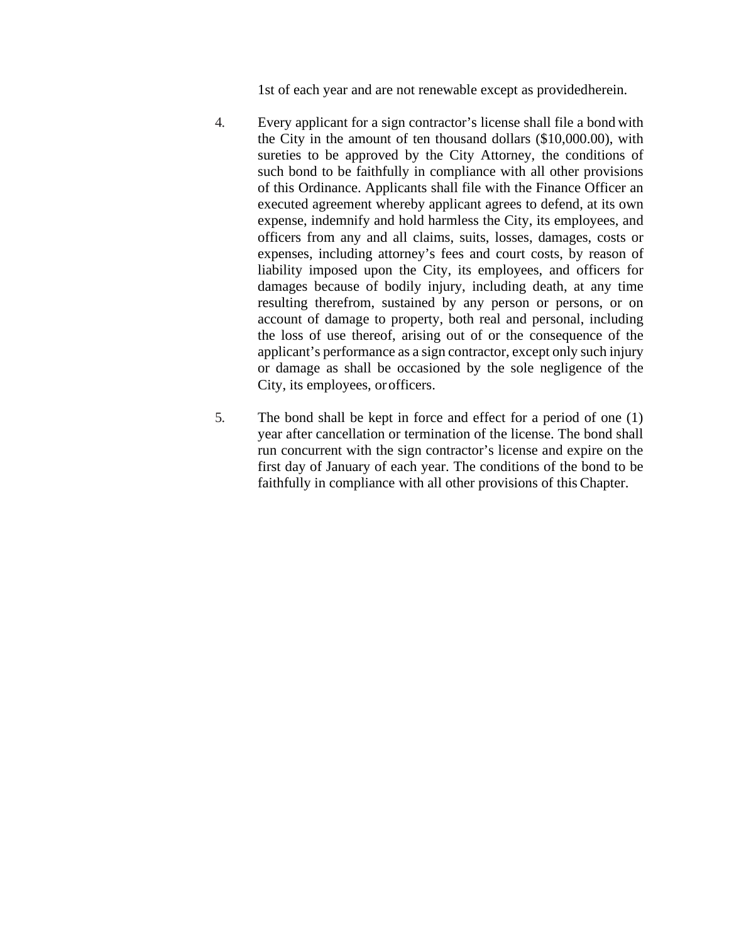1st of each year and are not renewable except as providedherein.

- 4. Every applicant for a sign contractor's license shall file a bond with the City in the amount of ten thousand dollars (\$10,000.00), with sureties to be approved by the City Attorney, the conditions of such bond to be faithfully in compliance with all other provisions of this Ordinance. Applicants shall file with the Finance Officer an executed agreement whereby applicant agrees to defend, at its own expense, indemnify and hold harmless the City, its employees, and officers from any and all claims, suits, losses, damages, costs or expenses, including attorney's fees and court costs, by reason of liability imposed upon the City, its employees, and officers for damages because of bodily injury, including death, at any time resulting therefrom, sustained by any person or persons, or on account of damage to property, both real and personal, including the loss of use thereof, arising out of or the consequence of the applicant's performance as a sign contractor, except only such injury or damage as shall be occasioned by the sole negligence of the City, its employees, orofficers.
- 5. The bond shall be kept in force and effect for a period of one (1) year after cancellation or termination of the license. The bond shall run concurrent with the sign contractor's license and expire on the first day of January of each year. The conditions of the bond to be faithfully in compliance with all other provisions of this Chapter.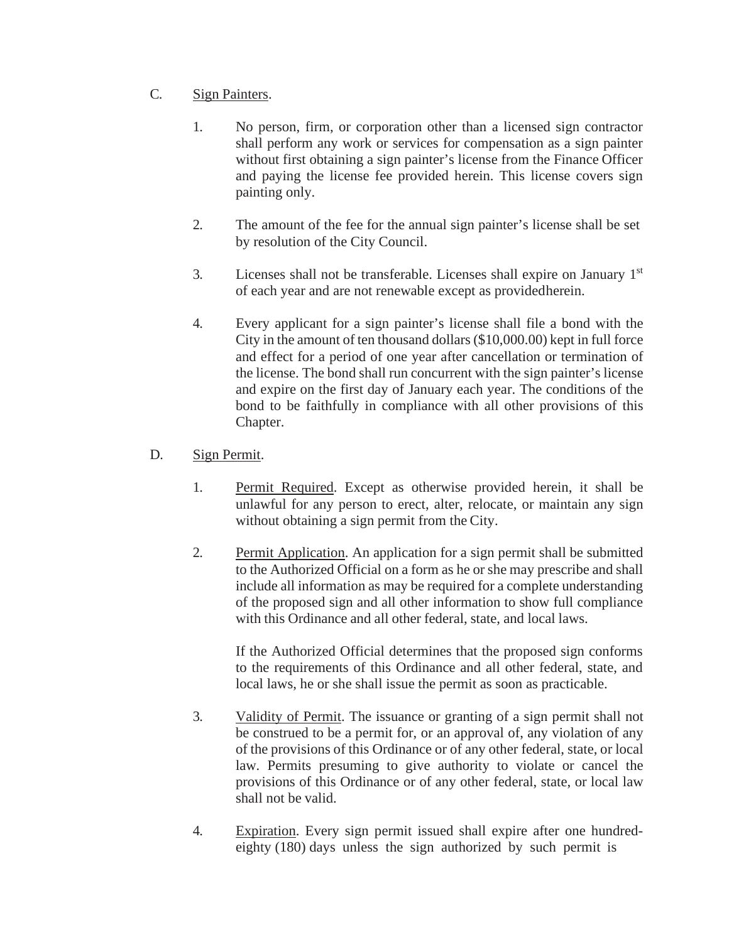# C. Sign Painters.

- 1. No person, firm, or corporation other than a licensed sign contractor shall perform any work or services for compensation as a sign painter without first obtaining a sign painter's license from the Finance Officer and paying the license fee provided herein. This license covers sign painting only.
- 2. The amount of the fee for the annual sign painter's license shall be set by resolution of the City Council.
- 3. Licenses shall not be transferable. Licenses shall expire on January 1st of each year and are not renewable except as providedherein.
- 4. Every applicant for a sign painter's license shall file a bond with the City in the amount of ten thousand dollars(\$10,000.00) kept in full force and effect for a period of one year after cancellation or termination of the license. The bond shall run concurrent with the sign painter's license and expire on the first day of January each year. The conditions of the bond to be faithfully in compliance with all other provisions of this Chapter.

# D. Sign Permit.

- 1. Permit Required. Except as otherwise provided herein, it shall be unlawful for any person to erect, alter, relocate, or maintain any sign without obtaining a sign permit from the City.
- 2. Permit Application. An application for a sign permit shall be submitted to the Authorized Official on a form as he or she may prescribe and shall include all information as may be required for a complete understanding of the proposed sign and all other information to show full compliance with this Ordinance and all other federal, state, and local laws.

If the Authorized Official determines that the proposed sign conforms to the requirements of this Ordinance and all other federal, state, and local laws, he or she shall issue the permit as soon as practicable.

- 3. Validity of Permit. The issuance or granting of a sign permit shall not be construed to be a permit for, or an approval of, any violation of any of the provisions of this Ordinance or of any other federal, state, or local law. Permits presuming to give authority to violate or cancel the provisions of this Ordinance or of any other federal, state, or local law shall not be valid.
- 4. Expiration. Every sign permit issued shall expire after one hundredeighty (180) days unless the sign authorized by such permit is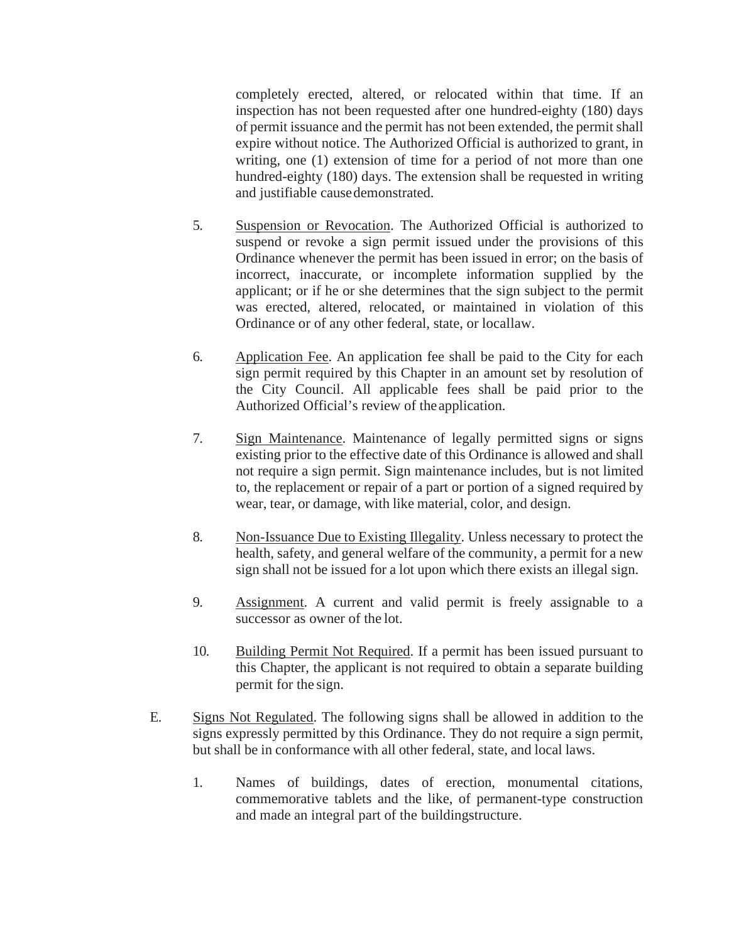completely erected, altered, or relocated within that time. If an inspection has not been requested after one hundred-eighty (180) days of permit issuance and the permit has not been extended, the permit shall expire without notice. The Authorized Official is authorized to grant, in writing, one (1) extension of time for a period of not more than one hundred-eighty (180) days. The extension shall be requested in writing and justifiable causedemonstrated.

- 5. Suspension or Revocation. The Authorized Official is authorized to suspend or revoke a sign permit issued under the provisions of this Ordinance whenever the permit has been issued in error; on the basis of incorrect, inaccurate, or incomplete information supplied by the applicant; or if he or she determines that the sign subject to the permit was erected, altered, relocated, or maintained in violation of this Ordinance or of any other federal, state, or locallaw.
- 6. Application Fee. An application fee shall be paid to the City for each sign permit required by this Chapter in an amount set by resolution of the City Council. All applicable fees shall be paid prior to the Authorized Official's review of theapplication.
- 7. Sign Maintenance. Maintenance of legally permitted signs or signs existing prior to the effective date of this Ordinance is allowed and shall not require a sign permit. Sign maintenance includes, but is not limited to, the replacement or repair of a part or portion of a signed required by wear, tear, or damage, with like material, color, and design.
- 8. Non-Issuance Due to Existing Illegality. Unless necessary to protect the health, safety, and general welfare of the community, a permit for a new sign shall not be issued for a lot upon which there exists an illegal sign.
- 9. Assignment. A current and valid permit is freely assignable to a successor as owner of the lot.
- 10. Building Permit Not Required. If a permit has been issued pursuant to this Chapter, the applicant is not required to obtain a separate building permit for the sign.
- E. Signs Not Regulated. The following signs shall be allowed in addition to the signs expressly permitted by this Ordinance. They do not require a sign permit, but shall be in conformance with all other federal, state, and local laws.
	- 1. Names of buildings, dates of erection, monumental citations, commemorative tablets and the like, of permanent-type construction and made an integral part of the buildingstructure.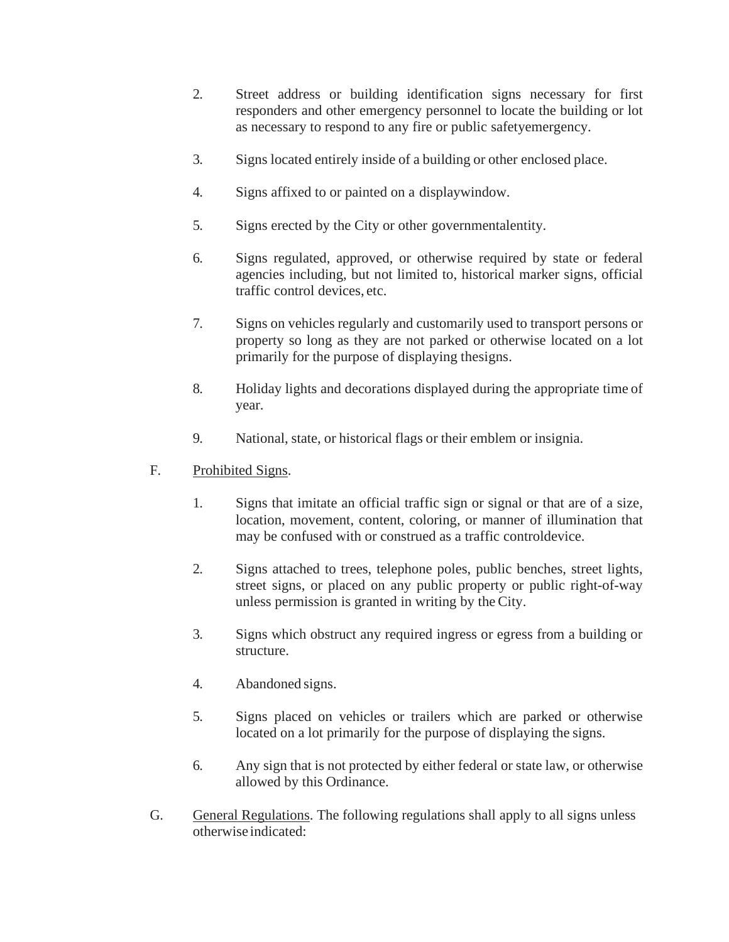- 2. Street address or building identification signs necessary for first responders and other emergency personnel to locate the building or lot as necessary to respond to any fire or public safetyemergency.
- 3. Signs located entirely inside of a building or other enclosed place.
- 4. Signs affixed to or painted on a displaywindow.
- 5. Signs erected by the City or other governmentalentity.
- 6. Signs regulated, approved, or otherwise required by state or federal agencies including, but not limited to, historical marker signs, official traffic control devices, etc.
- 7. Signs on vehicles regularly and customarily used to transport persons or property so long as they are not parked or otherwise located on a lot primarily for the purpose of displaying thesigns.
- 8. Holiday lights and decorations displayed during the appropriate time of year.
- 9. National, state, or historical flags or their emblem or insignia.

# F. Prohibited Signs.

- 1. Signs that imitate an official traffic sign or signal or that are of a size, location, movement, content, coloring, or manner of illumination that may be confused with or construed as a traffic controldevice.
- 2. Signs attached to trees, telephone poles, public benches, street lights, street signs, or placed on any public property or public right-of-way unless permission is granted in writing by the City.
- 3. Signs which obstruct any required ingress or egress from a building or structure.
- 4. Abandoned signs.
- 5. Signs placed on vehicles or trailers which are parked or otherwise located on a lot primarily for the purpose of displaying the signs.
- 6. Any sign that is not protected by either federal or state law, or otherwise allowed by this Ordinance.
- G. General Regulations. The following regulations shall apply to all signs unless otherwise indicated: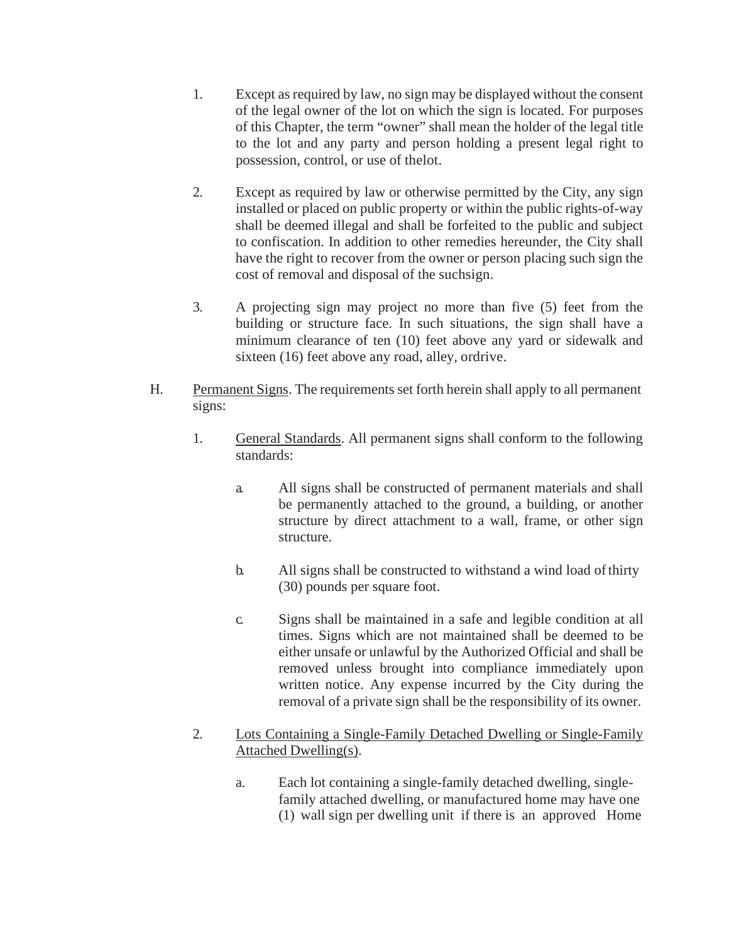- 1. Except as required by law, no sign may be displayed without the consent of the legal owner of the lot on which the sign is located. For purposes of this Chapter, the term "owner" shall mean the holder of the legal title to the lot and any party and person holding a present legal right to possession, control, or use of thelot.
- 2. Except as required by law or otherwise permitted by the City, any sign installed or placed on public property or within the public rights-of-way shall be deemed illegal and shall be forfeited to the public and subject to confiscation. In addition to other remedies hereunder, the City shall have the right to recover from the owner or person placing such sign the cost of removal and disposal of the suchsign.
- 3. A projecting sign may project no more than five (5) feet from the building or structure face. In such situations, the sign shall have a minimum clearance of ten (10) feet above any yard or sidewalk and sixteen (16) feet above any road, alley, ordrive.
- H. Permanent Signs. The requirements set forth herein shall apply to all permanent signs:
	- 1. General Standards. All permanent signs shall conform to the following standards:
		- a. All signs shall be constructed of permanent materials and shall be permanently attached to the ground, a building, or another structure by direct attachment to a wall, frame, or other sign structure.
		- b. All signs shall be constructed to withstand a wind load ofthirty (30) pounds per square foot.
		- c. Signs shall be maintained in a safe and legible condition at all times. Signs which are not maintained shall be deemed to be either unsafe or unlawful by the Authorized Official and shall be removed unless brought into compliance immediately upon written notice. Any expense incurred by the City during the removal of a private sign shall be the responsibility of its owner.
	- 2. Lots Containing a Single-Family Detached Dwelling or Single-Family Attached Dwelling(s).
		- a. Each lot containing a single-family detached dwelling, singlefamily attached dwelling, or manufactured home may have one (1) wall sign per dwelling unit if there is an approved Home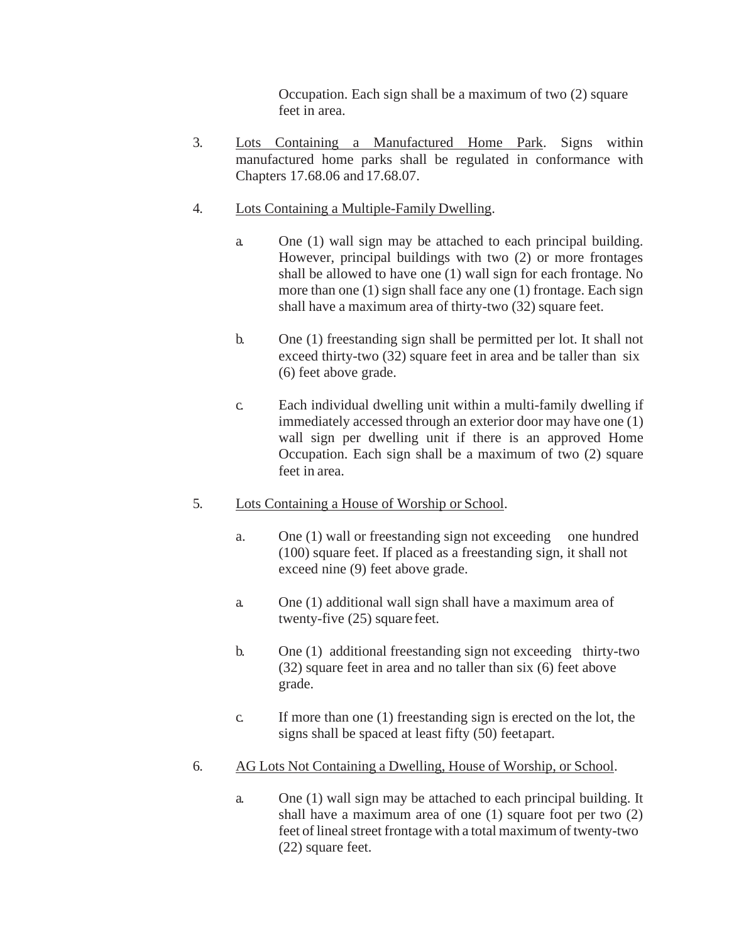Occupation. Each sign shall be a maximum of two (2) square feet in area.

- 3. Lots Containing a Manufactured Home Park. Signs within manufactured home parks shall be regulated in conformance with Chapters 17.68.06 and 17.68.07.
- 4. Lots Containing a Multiple-Family Dwelling.
	- a. One (1) wall sign may be attached to each principal building. However, principal buildings with two (2) or more frontages shall be allowed to have one (1) wall sign for each frontage. No more than one (1) sign shall face any one (1) frontage. Each sign shall have a maximum area of thirty-two (32) square feet.
	- b. One (1) freestanding sign shall be permitted per lot. It shall not exceed thirty-two (32) square feet in area and be taller than six (6) feet above grade.
	- c. Each individual dwelling unit within a multi-family dwelling if immediately accessed through an exterior door may have one (1) wall sign per dwelling unit if there is an approved Home Occupation. Each sign shall be a maximum of two (2) square feet in area.
- 5. Lots Containing a House of Worship or School.
	- a. One (1) wall or freestanding sign not exceeding one hundred (100) square feet. If placed as a freestanding sign, it shall not exceed nine (9) feet above grade.
	- a. One (1) additional wall sign shall have a maximum area of twenty-five (25) square feet.
	- b. One (1) additional freestanding sign not exceeding thirty-two (32) square feet in area and no taller than six (6) feet above grade.
	- c. If more than one (1) freestanding sign is erected on the lot, the signs shall be spaced at least fifty (50) feetapart.
- 6. AG Lots Not Containing a Dwelling, House of Worship, or School.
	- a. One (1) wall sign may be attached to each principal building. It shall have a maximum area of one (1) square foot per two (2) feet of lineal street frontage with a total maximum of twenty-two (22) square feet.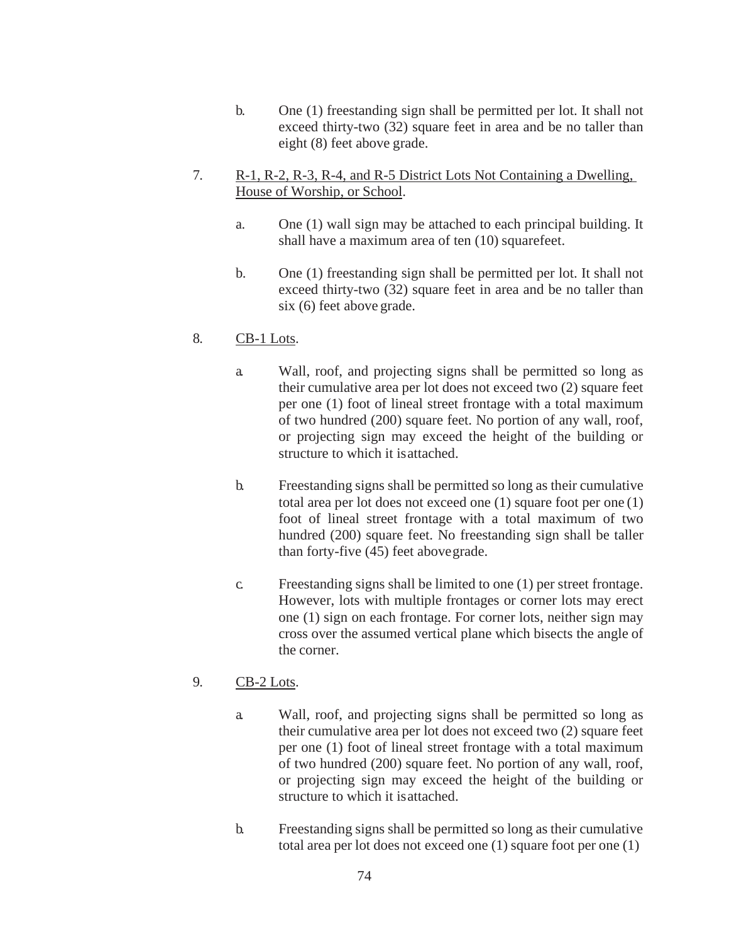- b. One (1) freestanding sign shall be permitted per lot. It shall not exceed thirty-two (32) square feet in area and be no taller than eight (8) feet above grade.
- 7. R-1, R-2, R-3, R-4, and R-5 District Lots Not Containing a Dwelling, House of Worship, or School.
	- a. One (1) wall sign may be attached to each principal building. It shall have a maximum area of ten (10) squarefeet.
	- b. One (1) freestanding sign shall be permitted per lot. It shall not exceed thirty-two (32) square feet in area and be no taller than six (6) feet above grade.

#### 8. CB-1 Lots.

- a. Wall, roof, and projecting signs shall be permitted so long as their cumulative area per lot does not exceed two (2) square feet per one (1) foot of lineal street frontage with a total maximum of two hundred (200) square feet. No portion of any wall, roof, or projecting sign may exceed the height of the building or structure to which it isattached.
- b. Freestanding signs shall be permitted so long as their cumulative total area per lot does not exceed one (1) square foot per one (1) foot of lineal street frontage with a total maximum of two hundred (200) square feet. No freestanding sign shall be taller than forty-five (45) feet abovegrade.
- c. Freestanding signs shall be limited to one (1) per street frontage. However, lots with multiple frontages or corner lots may erect one (1) sign on each frontage. For corner lots, neither sign may cross over the assumed vertical plane which bisects the angle of the corner.

#### 9. CB-2 Lots.

- a. Wall, roof, and projecting signs shall be permitted so long as their cumulative area per lot does not exceed two (2) square feet per one (1) foot of lineal street frontage with a total maximum of two hundred (200) square feet. No portion of any wall, roof, or projecting sign may exceed the height of the building or structure to which it isattached.
- b. Freestanding signs shall be permitted so long as their cumulative total area per lot does not exceed one (1) square foot per one (1)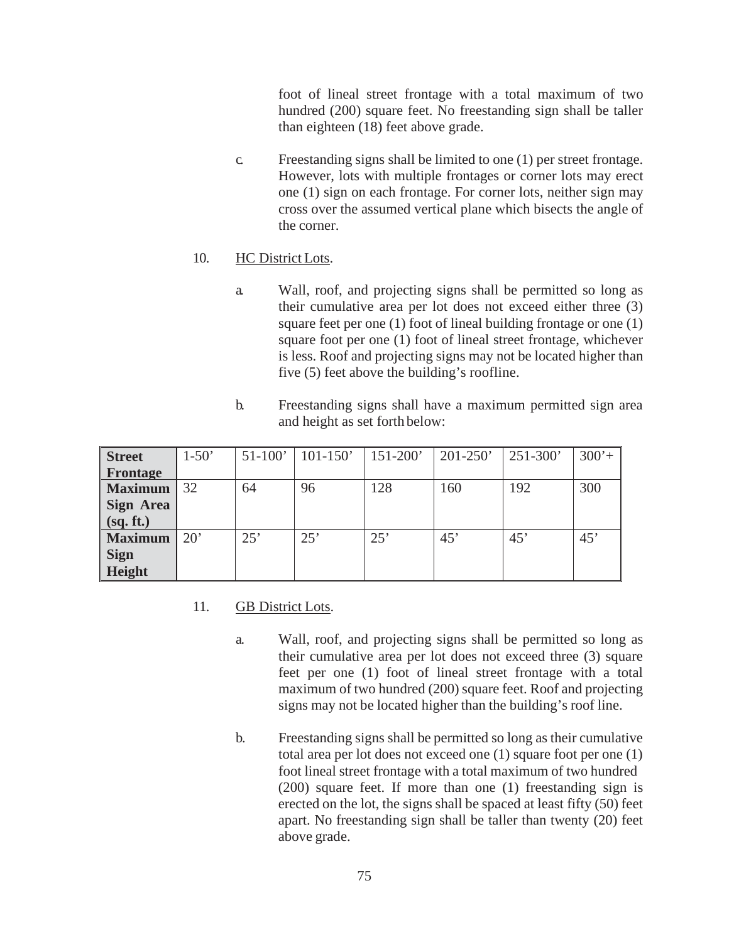foot of lineal street frontage with a total maximum of two hundred (200) square feet. No freestanding sign shall be taller than eighteen (18) feet above grade.

c. Freestanding signs shall be limited to one (1) per street frontage. However, lots with multiple frontages or corner lots may erect one (1) sign on each frontage. For corner lots, neither sign may cross over the assumed vertical plane which bisects the angle of the corner.

## 10. HC District Lots.

- a. Wall, roof, and projecting signs shall be permitted so long as their cumulative area per lot does not exceed either three (3) square feet per one (1) foot of lineal building frontage or one (1) square foot per one (1) foot of lineal street frontage, whichever is less. Roof and projecting signs may not be located higher than five (5) feet above the building's roofline.
- b. Freestanding signs shall have a maximum permitted sign area and height as set forth below:

| <b>Street</b>    | $1-50'$      | $51-100'$ | $101 - 150'$ | $151 - 200'$ | $201 - 250'$ | $251 - 300'$ | $300'+$ |
|------------------|--------------|-----------|--------------|--------------|--------------|--------------|---------|
| <b>Frontage</b>  |              |           |              |              |              |              |         |
| <b>Maximum</b>   | 32           | 64        | 96           | 128          | 160          | 192          | 300     |
| Sign Area        |              |           |              |              |              |              |         |
| $\int$ (sq. ft.) |              |           |              |              |              |              |         |
| <b>Maximum</b>   | $20^{\circ}$ | 25'       | 25'          | 25'          | 45'          | 45'          | 45'     |
| <b>Sign</b>      |              |           |              |              |              |              |         |
| <b>Height</b>    |              |           |              |              |              |              |         |

#### 11. GB District Lots.

- a. Wall, roof, and projecting signs shall be permitted so long as their cumulative area per lot does not exceed three (3) square feet per one (1) foot of lineal street frontage with a total maximum of two hundred (200) square feet. Roof and projecting signs may not be located higher than the building's roof line.
- b. Freestanding signs shall be permitted so long as their cumulative total area per lot does not exceed one (1) square foot per one (1) foot lineal street frontage with a total maximum of two hundred (200) square feet. If more than one (1) freestanding sign is erected on the lot, the signs shall be spaced at least fifty (50) feet apart. No freestanding sign shall be taller than twenty (20) feet above grade.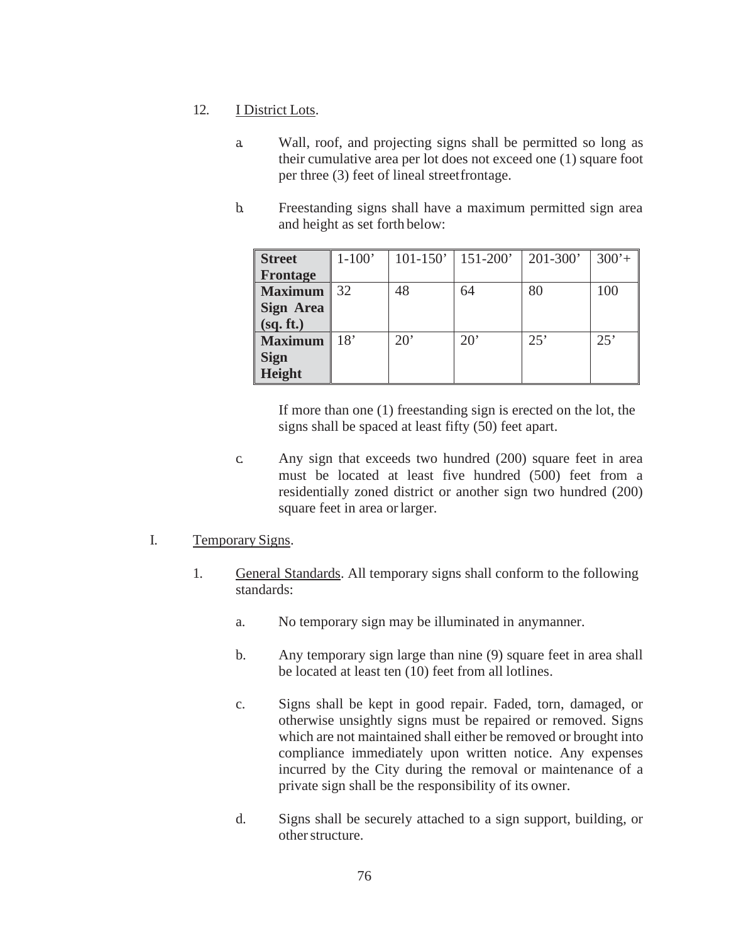## 12. I District Lots.

- a. Wall, roof, and projecting signs shall be permitted so long as their cumulative area per lot does not exceed one (1) square foot per three (3) feet of lineal streetfrontage.
- b. Freestanding signs shall have a maximum permitted sign area and height as set forth below:

| <b>Street</b>    | $1-100'$ | $101 - 150'$ | $151 - 200'$ | $201 - 300'$ | $300'+$ |
|------------------|----------|--------------|--------------|--------------|---------|
| <b>Frontage</b>  |          |              |              |              |         |
| <b>Maximum</b>   | 32       | 48           | 64           | 80           | 100     |
| <b>Sign Area</b> |          |              |              |              |         |
| (sq. ft.)        |          |              |              |              |         |
| <b>Maximum</b>   | 18'      | 20'          | $20^{\circ}$ | 25'          | 25'     |
| <b>Sign</b>      |          |              |              |              |         |
| Height           |          |              |              |              |         |

If more than one (1) freestanding sign is erected on the lot, the signs shall be spaced at least fifty (50) feet apart.

c. Any sign that exceeds two hundred (200) square feet in area must be located at least five hundred (500) feet from a residentially zoned district or another sign two hundred (200) square feet in area orlarger.

#### I. Temporary Signs.

- 1. General Standards. All temporary signs shall conform to the following standards:
	- a. No temporary sign may be illuminated in anymanner.
	- b. Any temporary sign large than nine (9) square feet in area shall be located at least ten (10) feet from all lotlines.
	- c. Signs shall be kept in good repair. Faded, torn, damaged, or otherwise unsightly signs must be repaired or removed. Signs which are not maintained shall either be removed or brought into compliance immediately upon written notice. Any expenses incurred by the City during the removal or maintenance of a private sign shall be the responsibility of its owner.
	- d. Signs shall be securely attached to a sign support, building, or otherstructure.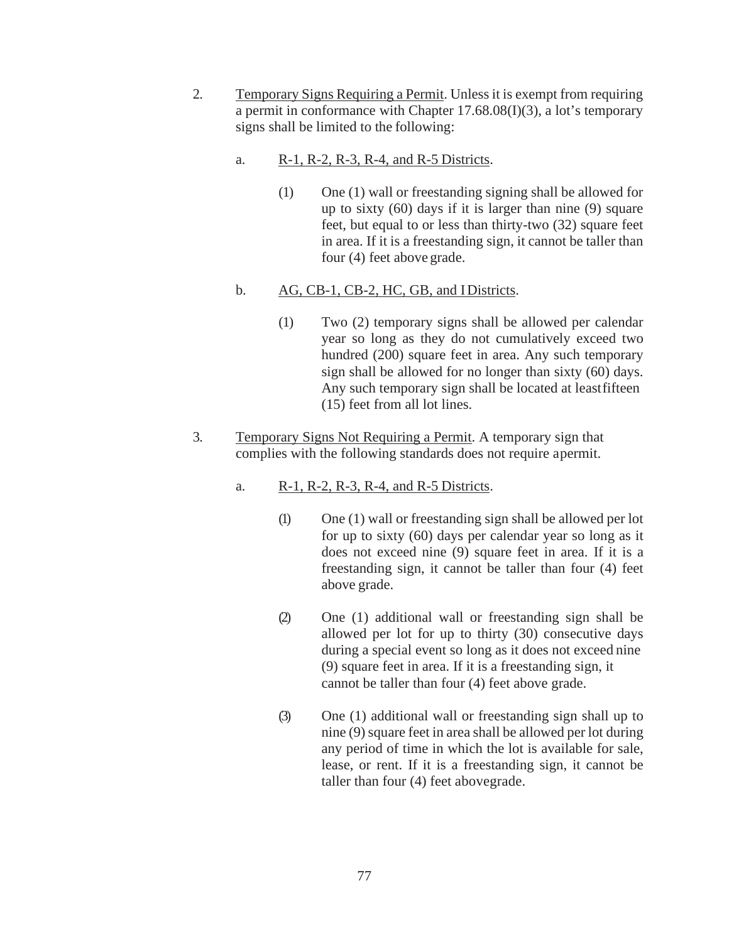- 2. Temporary Signs Requiring a Permit. Unless it is exempt from requiring a permit in conformance with Chapter 17.68.08(I)(3), a lot's temporary signs shall be limited to the following:
	- a. R-1, R-2, R-3, R-4, and R-5 Districts.
		- (1) One (1) wall or freestanding signing shall be allowed for up to sixty (60) days if it is larger than nine (9) square feet, but equal to or less than thirty-two (32) square feet in area. If it is a freestanding sign, it cannot be taller than four (4) feet above grade.
	- b. AG, CB-1, CB-2, HC, GB, and IDistricts.
		- (1) Two (2) temporary signs shall be allowed per calendar year so long as they do not cumulatively exceed two hundred (200) square feet in area. Any such temporary sign shall be allowed for no longer than sixty (60) days. Any such temporary sign shall be located at leastfifteen (15) feet from all lot lines.
- 3. Temporary Signs Not Requiring a Permit. A temporary sign that complies with the following standards does not require apermit.
	- a. R-1, R-2, R-3, R-4, and R-5 Districts.
		- (1) One (1) wall or freestanding sign shall be allowed per lot for up to sixty (60) days per calendar year so long as it does not exceed nine (9) square feet in area. If it is a freestanding sign, it cannot be taller than four (4) feet above grade.
		- (2) One (1) additional wall or freestanding sign shall be allowed per lot for up to thirty (30) consecutive days during a special event so long as it does not exceed nine (9) square feet in area. If it is a freestanding sign, it cannot be taller than four (4) feet above grade.
		- (3) One (1) additional wall or freestanding sign shall up to nine (9) square feet in area shall be allowed per lot during any period of time in which the lot is available for sale, lease, or rent. If it is a freestanding sign, it cannot be taller than four (4) feet abovegrade.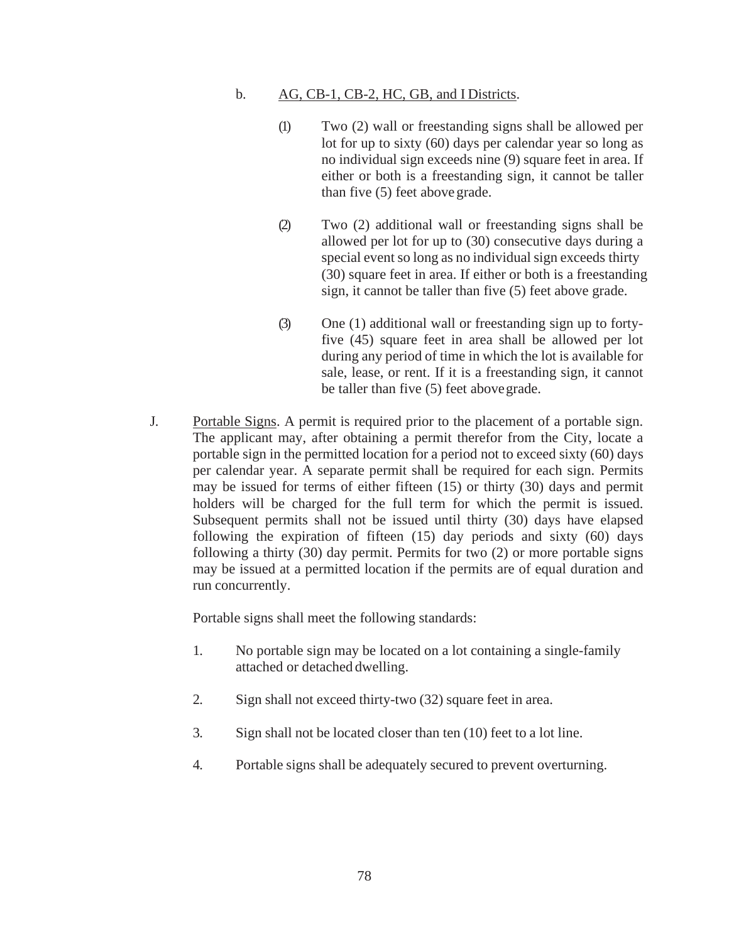#### b. AG, CB-1, CB-2, HC, GB, and I Districts.

- (1) Two (2) wall or freestanding signs shall be allowed per lot for up to sixty (60) days per calendar year so long as no individual sign exceeds nine (9) square feet in area. If either or both is a freestanding sign, it cannot be taller than five (5) feet above grade.
- (2) Two (2) additional wall or freestanding signs shall be allowed per lot for up to (30) consecutive days during a special event so long as no individual sign exceeds thirty (30) square feet in area. If either or both is a freestanding sign, it cannot be taller than five (5) feet above grade.
- (3) One (1) additional wall or freestanding sign up to fortyfive (45) square feet in area shall be allowed per lot during any period of time in which the lot is available for sale, lease, or rent. If it is a freestanding sign, it cannot be taller than five (5) feet abovegrade.
- J. Portable Signs. A permit is required prior to the placement of a portable sign. The applicant may, after obtaining a permit therefor from the City, locate a portable sign in the permitted location for a period not to exceed sixty (60) days per calendar year. A separate permit shall be required for each sign. Permits may be issued for terms of either fifteen (15) or thirty (30) days and permit holders will be charged for the full term for which the permit is issued. Subsequent permits shall not be issued until thirty (30) days have elapsed following the expiration of fifteen (15) day periods and sixty (60) days following a thirty (30) day permit. Permits for two (2) or more portable signs may be issued at a permitted location if the permits are of equal duration and run concurrently.

Portable signs shall meet the following standards:

- 1. No portable sign may be located on a lot containing a single-family attached or detached dwelling.
- 2. Sign shall not exceed thirty-two (32) square feet in area.
- 3. Sign shall not be located closer than ten (10) feet to a lot line.
- 4. Portable signs shall be adequately secured to prevent overturning.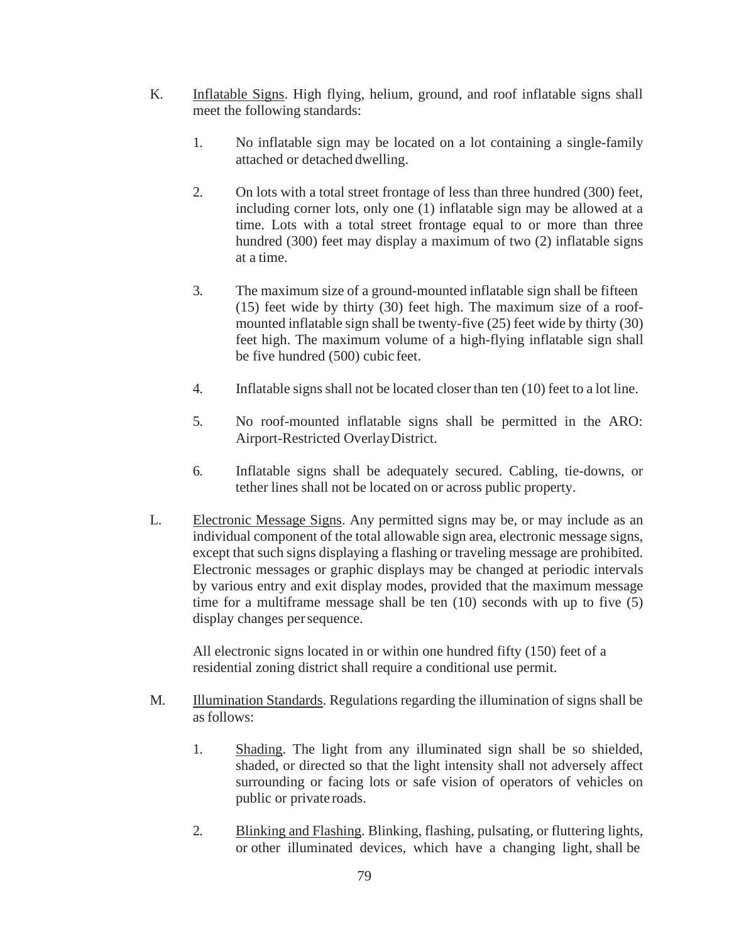- K. Inflatable Signs. High flying, helium, ground, and roof inflatable signs shall meet the following standards:
	- 1. No inflatable sign may be located on a lot containing a single-family attached or detached dwelling.
	- 2. On lots with a total street frontage of less than three hundred (300) feet, including corner lots, only one (1) inflatable sign may be allowed at a time. Lots with a total street frontage equal to or more than three hundred (300) feet may display a maximum of two (2) inflatable signs at a time.
	- 3. The maximum size of a ground-mounted inflatable sign shall be fifteen (15) feet wide by thirty (30) feet high. The maximum size of a roofmounted inflatable sign shall be twenty-five (25) feet wide by thirty (30) feet high. The maximum volume of a high-flying inflatable sign shall be five hundred (500) cubic feet.
	- 4. Inflatable signs shall not be located closer than ten (10) feet to a lot line.
	- 5. No roof-mounted inflatable signs shall be permitted in the ARO: Airport-Restricted OverlayDistrict.
	- 6. Inflatable signs shall be adequately secured. Cabling, tie-downs, or tether lines shall not be located on or across public property.
- L. Electronic Message Signs. Any permitted signs may be, or may include as an individual component of the total allowable sign area, electronic message signs, except that such signs displaying a flashing or traveling message are prohibited. Electronic messages or graphic displays may be changed at periodic intervals by various entry and exit display modes, provided that the maximum message time for a multiframe message shall be ten (10) seconds with up to five (5) display changes persequence.

All electronic signs located in or within one hundred fifty (150) feet of a residential zoning district shall require a conditional use permit.

- M. Illumination Standards. Regulations regarding the illumination of signs shall be asfollows:
	- 1. Shading. The light from any illuminated sign shall be so shielded, shaded, or directed so that the light intensity shall not adversely affect surrounding or facing lots or safe vision of operators of vehicles on public or private roads.
	- 2. Blinking and Flashing. Blinking, flashing, pulsating, or fluttering lights, or other illuminated devices, which have a changing light, shall be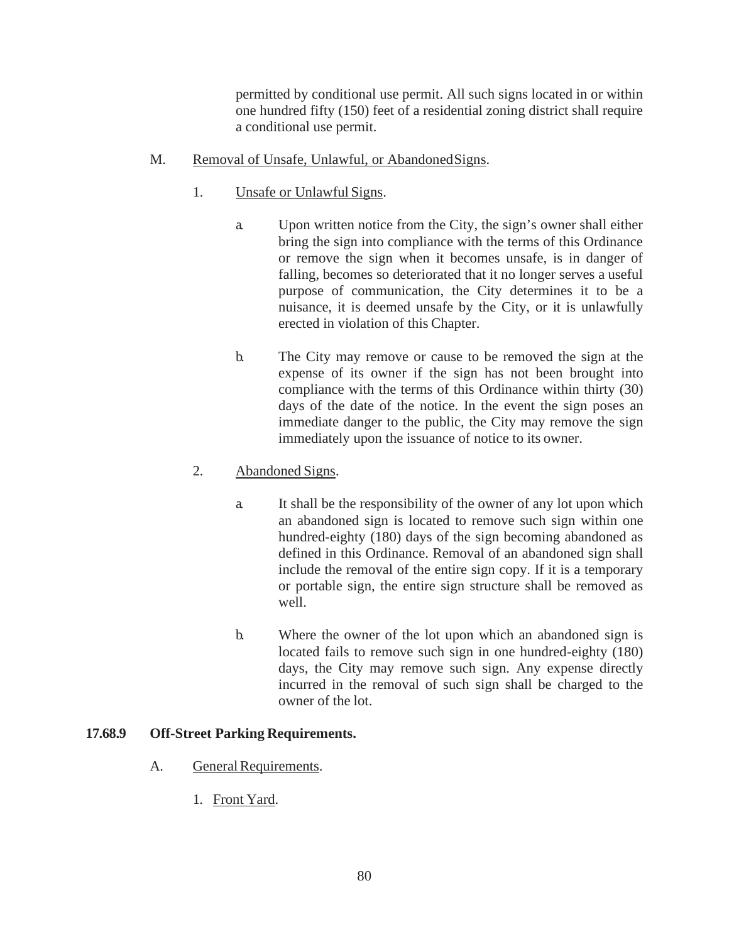permitted by conditional use permit. All such signs located in or within one hundred fifty (150) feet of a residential zoning district shall require a conditional use permit.

#### M. Removal of Unsafe, Unlawful, or AbandonedSigns.

- 1. Unsafe or Unlawful Signs.
	- a. Upon written notice from the City, the sign's owner shall either bring the sign into compliance with the terms of this Ordinance or remove the sign when it becomes unsafe, is in danger of falling, becomes so deteriorated that it no longer serves a useful purpose of communication, the City determines it to be a nuisance, it is deemed unsafe by the City, or it is unlawfully erected in violation of this Chapter.
	- b. The City may remove or cause to be removed the sign at the expense of its owner if the sign has not been brought into compliance with the terms of this Ordinance within thirty (30) days of the date of the notice. In the event the sign poses an immediate danger to the public, the City may remove the sign immediately upon the issuance of notice to its owner.

# 2. Abandoned Signs.

- a. It shall be the responsibility of the owner of any lot upon which an abandoned sign is located to remove such sign within one hundred-eighty (180) days of the sign becoming abandoned as defined in this Ordinance. Removal of an abandoned sign shall include the removal of the entire sign copy. If it is a temporary or portable sign, the entire sign structure shall be removed as well.
- b. Where the owner of the lot upon which an abandoned sign is located fails to remove such sign in one hundred-eighty (180) days, the City may remove such sign. Any expense directly incurred in the removal of such sign shall be charged to the owner of the lot.

# <span id="page-28-0"></span>**17.68.9 Off-Street Parking Requirements.**

- A. General Requirements.
	- 1. Front Yard.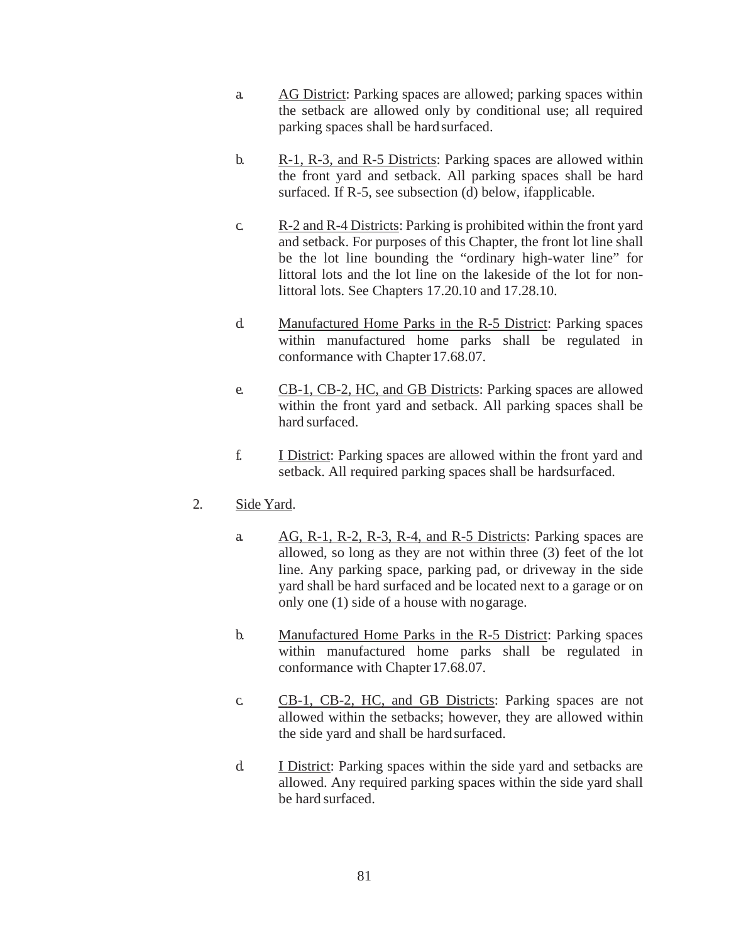- a. AG District: Parking spaces are allowed; parking spaces within the setback are allowed only by conditional use; all required parking spaces shall be hard surfaced.
- b.  $R-1$ ,  $R-3$ , and  $R-5$  Districts: Parking spaces are allowed within the front yard and setback. All parking spaces shall be hard surfaced. If R-5, see subsection (d) below, ifapplicable.
- c. R-2 and R-4 Districts: Parking is prohibited within the front yard and setback. For purposes of this Chapter, the front lot line shall be the lot line bounding the "ordinary high-water line" for littoral lots and the lot line on the lakeside of the lot for nonlittoral lots. See Chapters 17.20.10 and 17.28.10.
- d. Manufactured Home Parks in the R-5 District: Parking spaces within manufactured home parks shall be regulated in conformance with Chapter 17.68.07.
- e. CB-1, CB-2, HC, and GB Districts: Parking spaces are allowed within the front yard and setback. All parking spaces shall be hard surfaced.
- f. I District: Parking spaces are allowed within the front yard and setback. All required parking spaces shall be hardsurfaced.

# 2. Side Yard.

- a. AG, R-1, R-2, R-3, R-4, and R-5 Districts: Parking spaces are allowed, so long as they are not within three (3) feet of the lot line. Any parking space, parking pad, or driveway in the side yard shall be hard surfaced and be located next to a garage or on only one (1) side of a house with nogarage.
- b. Manufactured Home Parks in the R-5 District: Parking spaces within manufactured home parks shall be regulated in conformance with Chapter 17.68.07.
- c. CB-1, CB-2, HC, and GB Districts: Parking spaces are not allowed within the setbacks; however, they are allowed within the side yard and shall be hardsurfaced.
- d. I District: Parking spaces within the side yard and setbacks are allowed. Any required parking spaces within the side yard shall be hard surfaced.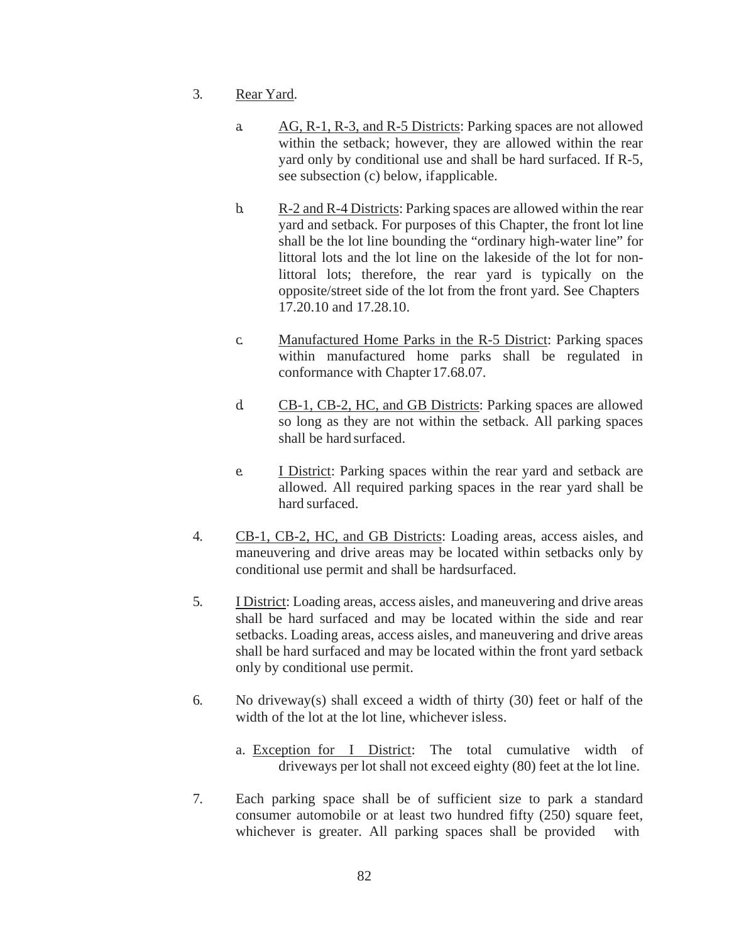- 3. Rear Yard.
	- a. AG, R-1, R-3, and R-5 Districts: Parking spaces are not allowed within the setback; however, they are allowed within the rear yard only by conditional use and shall be hard surfaced. If R-5, see subsection (c) below, ifapplicable.
	- b. R-2 and R-4 Districts: Parking spaces are allowed within the rear yard and setback. For purposes of this Chapter, the front lot line shall be the lot line bounding the "ordinary high-water line" for littoral lots and the lot line on the lakeside of the lot for nonlittoral lots; therefore, the rear yard is typically on the opposite/street side of the lot from the front yard. See Chapters 17.20.10 and 17.28.10.
	- c. Manufactured Home Parks in the R-5 District: Parking spaces within manufactured home parks shall be regulated in conformance with Chapter 17.68.07.
	- d. CB-1, CB-2, HC, and GB Districts: Parking spaces are allowed so long as they are not within the setback. All parking spaces shall be hard surfaced.
	- e. I District: Parking spaces within the rear yard and setback are allowed. All required parking spaces in the rear yard shall be hard surfaced.
- 4. CB-1, CB-2, HC, and GB Districts: Loading areas, access aisles, and maneuvering and drive areas may be located within setbacks only by conditional use permit and shall be hardsurfaced.
- 5. I District: Loading areas, access aisles, and maneuvering and drive areas shall be hard surfaced and may be located within the side and rear setbacks. Loading areas, access aisles, and maneuvering and drive areas shall be hard surfaced and may be located within the front yard setback only by conditional use permit.
- 6. No driveway(s) shall exceed a width of thirty (30) feet or half of the width of the lot at the lot line, whichever isless.
	- a. Exception for I District: The total cumulative width of driveways per lot shall not exceed eighty (80) feet at the lot line.
- 7. Each parking space shall be of sufficient size to park a standard consumer automobile or at least two hundred fifty (250) square feet, whichever is greater. All parking spaces shall be provided with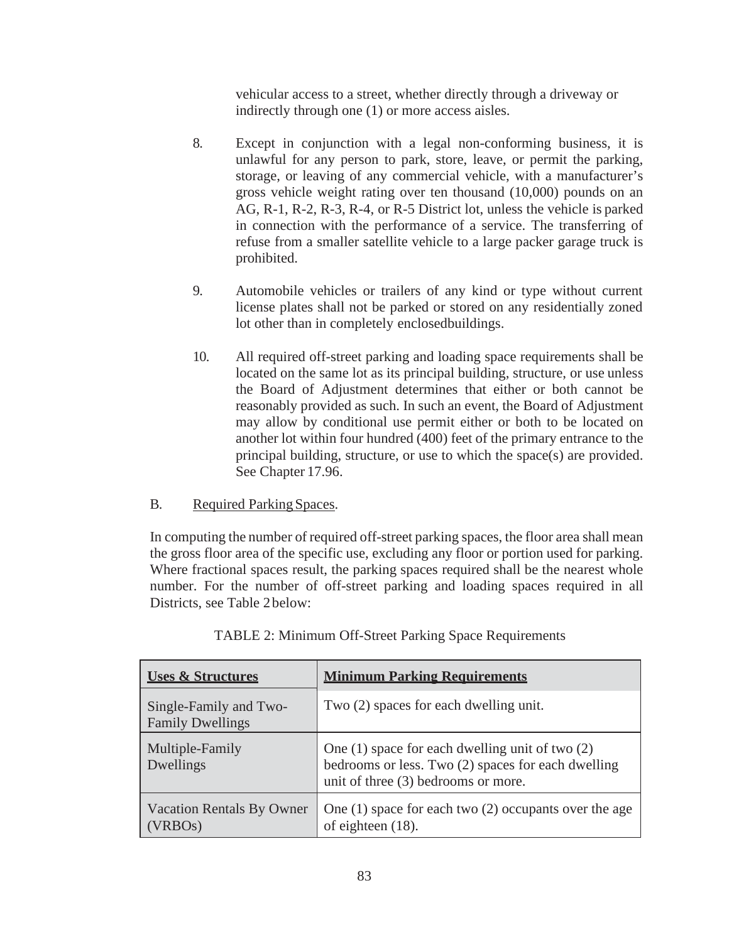vehicular access to a street, whether directly through a driveway or indirectly through one (1) or more access aisles.

- 8. Except in conjunction with a legal non-conforming business, it is unlawful for any person to park, store, leave, or permit the parking, storage, or leaving of any commercial vehicle, with a manufacturer's gross vehicle weight rating over ten thousand (10,000) pounds on an AG, R-1, R-2, R-3, R-4, or R-5 District lot, unless the vehicle is parked in connection with the performance of a service. The transferring of refuse from a smaller satellite vehicle to a large packer garage truck is prohibited.
- 9. Automobile vehicles or trailers of any kind or type without current license plates shall not be parked or stored on any residentially zoned lot other than in completely enclosedbuildings.
- 10. All required off-street parking and loading space requirements shall be located on the same lot as its principal building, structure, or use unless the Board of Adjustment determines that either or both cannot be reasonably provided as such. In such an event, the Board of Adjustment may allow by conditional use permit either or both to be located on another lot within four hundred (400) feet of the primary entrance to the principal building, structure, or use to which the space(s) are provided. See Chapter 17.96.
- B. Required Parking Spaces.

In computing the number of required off-street parking spaces, the floor area shall mean the gross floor area of the specific use, excluding any floor or portion used for parking. Where fractional spaces result, the parking spaces required shall be the nearest whole number. For the number of off-street parking and loading spaces required in all Districts, see Table 2below:

| <b>Uses &amp; Structures</b>                             | <b>Minimum Parking Requirements</b>                                                                                                              |  |  |
|----------------------------------------------------------|--------------------------------------------------------------------------------------------------------------------------------------------------|--|--|
| Single-Family and Two-<br><b>Family Dwellings</b>        | Two (2) spaces for each dwelling unit.                                                                                                           |  |  |
| Multiple-Family<br>Dwellings                             | One $(1)$ space for each dwelling unit of two $(2)$<br>bedrooms or less. Two (2) spaces for each dwelling<br>unit of three (3) bedrooms or more. |  |  |
| <b>Vacation Rentals By Owner</b><br>(VRBO <sub>s</sub> ) | One $(1)$ space for each two $(2)$ occupants over the age<br>of eighteen $(18)$ .                                                                |  |  |

TABLE 2: Minimum Off-Street Parking Space Requirements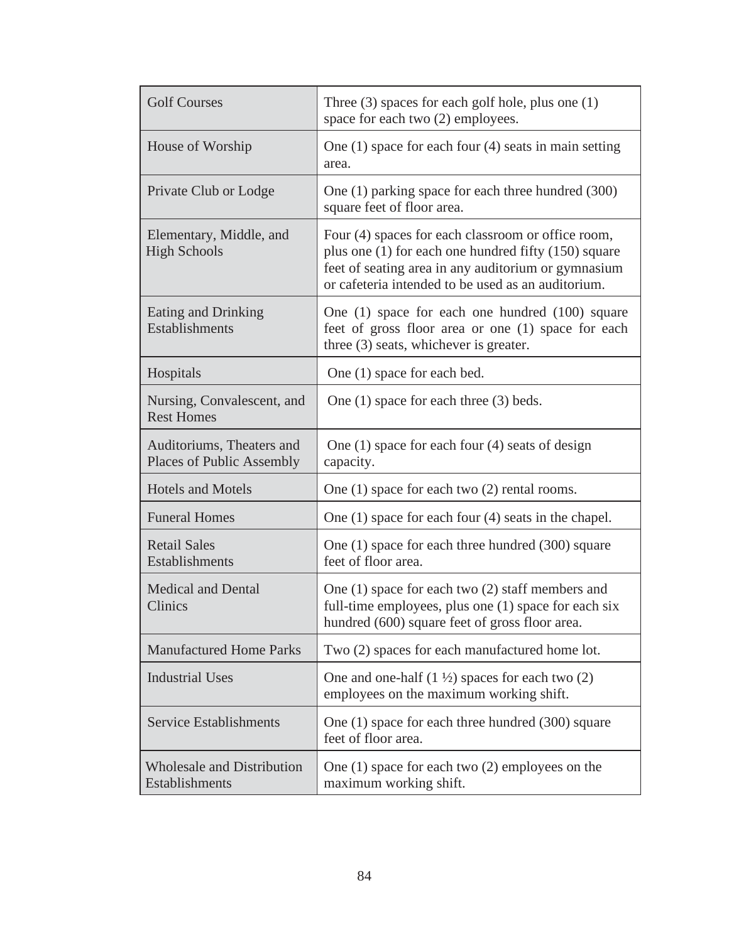| <b>Golf Courses</b>                                           | Three $(3)$ spaces for each golf hole, plus one $(1)$<br>space for each two (2) employees.                                                                                                                              |  |  |
|---------------------------------------------------------------|-------------------------------------------------------------------------------------------------------------------------------------------------------------------------------------------------------------------------|--|--|
| House of Worship                                              | One $(1)$ space for each four $(4)$ seats in main setting<br>area.                                                                                                                                                      |  |  |
| Private Club or Lodge                                         | One (1) parking space for each three hundred (300)<br>square feet of floor area.                                                                                                                                        |  |  |
| Elementary, Middle, and<br><b>High Schools</b>                | Four (4) spaces for each classroom or office room,<br>plus one (1) for each one hundred fifty (150) square<br>feet of seating area in any auditorium or gymnasium<br>or cafeteria intended to be used as an auditorium. |  |  |
| Eating and Drinking<br>Establishments                         | One (1) space for each one hundred (100) square<br>feet of gross floor area or one (1) space for each<br>three (3) seats, whichever is greater.                                                                         |  |  |
| Hospitals                                                     | One (1) space for each bed.                                                                                                                                                                                             |  |  |
| Nursing, Convalescent, and<br><b>Rest Homes</b>               | One $(1)$ space for each three $(3)$ beds.                                                                                                                                                                              |  |  |
| Auditoriums, Theaters and<br><b>Places of Public Assembly</b> | One $(1)$ space for each four $(4)$ seats of design<br>capacity.                                                                                                                                                        |  |  |
| <b>Hotels and Motels</b>                                      | One $(1)$ space for each two $(2)$ rental rooms.                                                                                                                                                                        |  |  |
| <b>Funeral Homes</b>                                          | One $(1)$ space for each four $(4)$ seats in the chapel.                                                                                                                                                                |  |  |
| <b>Retail Sales</b><br>Establishments                         | One (1) space for each three hundred (300) square<br>feet of floor area.                                                                                                                                                |  |  |
| <b>Medical and Dental</b><br>Clinics                          | One $(1)$ space for each two $(2)$ staff members and<br>full-time employees, plus one (1) space for each six<br>hundred (600) square feet of gross floor area.                                                          |  |  |
| <b>Manufactured Home Parks</b>                                | Two (2) spaces for each manufactured home lot.                                                                                                                                                                          |  |  |
| <b>Industrial Uses</b>                                        | One and one-half $(1 \frac{1}{2})$ spaces for each two $(2)$<br>employees on the maximum working shift.                                                                                                                 |  |  |
| <b>Service Establishments</b>                                 | One (1) space for each three hundred (300) square<br>feet of floor area.                                                                                                                                                |  |  |
| <b>Wholesale and Distribution</b><br>Establishments           | One $(1)$ space for each two $(2)$ employees on the<br>maximum working shift.                                                                                                                                           |  |  |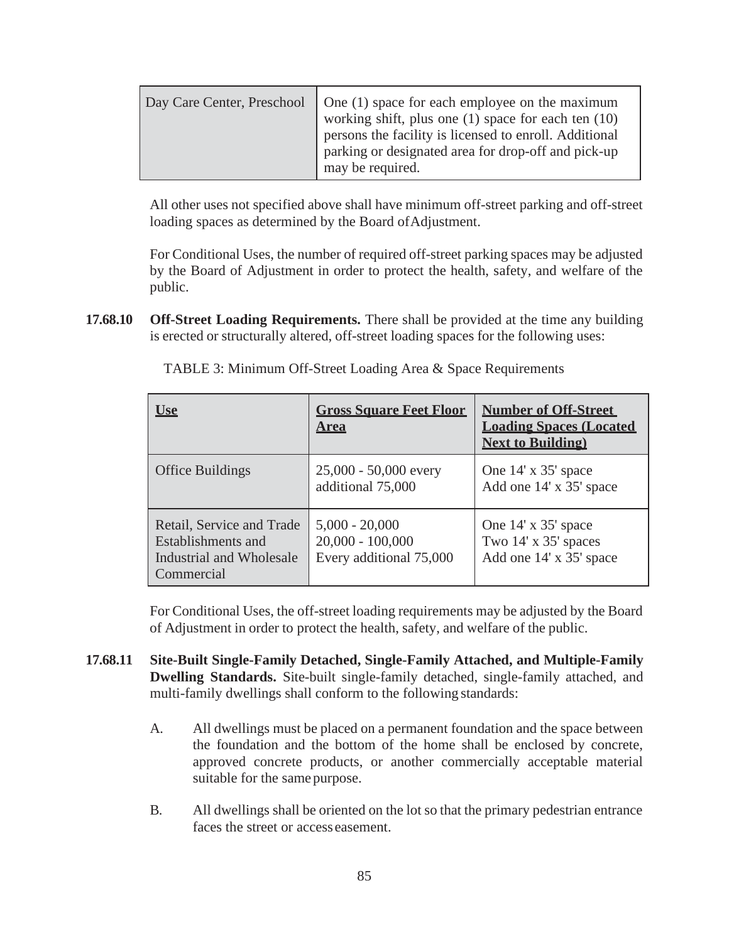All other uses not specified above shall have minimum off-street parking and off-street loading spaces as determined by the Board of Adjustment.

For Conditional Uses, the number of required off-street parking spaces may be adjusted by the Board of Adjustment in order to protect the health, safety, and welfare of the public.

**17.68.10 Off-Street Loading Requirements.** There shall be provided at the time any building is erected or structurally altered, off-street loading spaces for the following uses:

| <u>Use</u>                                                                                | <b>Gross Square Feet Floor</b><br><b>Area</b>                     | <b>Number of Off-Street</b><br><b>Loading Spaces (Located</b><br><b>Next to Building</b> |
|-------------------------------------------------------------------------------------------|-------------------------------------------------------------------|------------------------------------------------------------------------------------------|
| <b>Office Buildings</b>                                                                   | $25,000 - 50,000$ every<br>additional 75,000                      | One 14' x 35' space<br>Add one 14' x 35' space                                           |
| Retail, Service and Trade<br>Establishments and<br>Industrial and Wholesale<br>Commercial | $5,000 - 20,000$<br>$20,000 - 100,000$<br>Every additional 75,000 | One 14' x 35' space<br>Two 14' x 35' spaces<br>Add one 14' x 35' space                   |

TABLE 3: Minimum Off-Street Loading Area & Space Requirements

For Conditional Uses, the off-street loading requirements may be adjusted by the Board of Adjustment in order to protect the health, safety, and welfare of the public.

- **17.68.11 Site-Built Single-Family Detached, Single-Family Attached, and Multiple-Family Dwelling Standards.** Site-built single-family detached, single-family attached, and multi-family dwellings shall conform to the following standards:
	- A. All dwellings must be placed on a permanent foundation and the space between the foundation and the bottom of the home shall be enclosed by concrete, approved concrete products, or another commercially acceptable material suitable for the same purpose.
	- B. All dwellings shall be oriented on the lot so that the primary pedestrian entrance faces the street or access easement.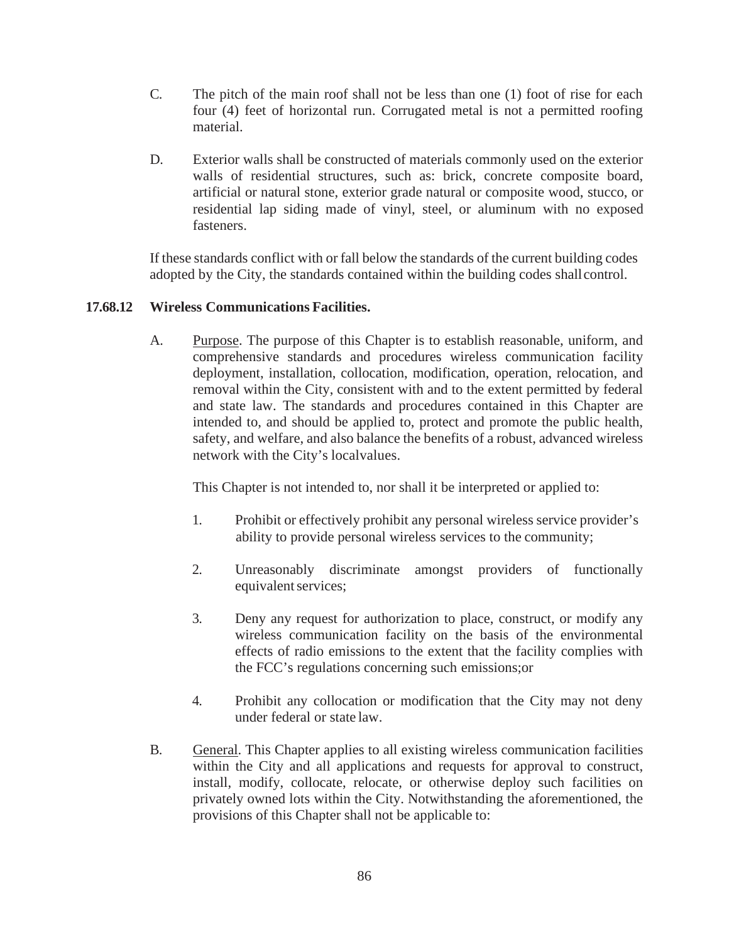- C. The pitch of the main roof shall not be less than one (1) foot of rise for each four (4) feet of horizontal run. Corrugated metal is not a permitted roofing material.
- D. Exterior walls shall be constructed of materials commonly used on the exterior walls of residential structures, such as: brick, concrete composite board, artificial or natural stone, exterior grade natural or composite wood, stucco, or residential lap siding made of vinyl, steel, or aluminum with no exposed fasteners.

If these standards conflict with or fall below the standards of the current building codes adopted by the City, the standards contained within the building codes shallcontrol.

## **17.68.12 Wireless Communications Facilities.**

A. Purpose. The purpose of this Chapter is to establish reasonable, uniform, and comprehensive standards and procedures wireless communication facility deployment, installation, collocation, modification, operation, relocation, and removal within the City, consistent with and to the extent permitted by federal and state law. The standards and procedures contained in this Chapter are intended to, and should be applied to, protect and promote the public health, safety, and welfare, and also balance the benefits of a robust, advanced wireless network with the City's localvalues.

This Chapter is not intended to, nor shall it be interpreted or applied to:

- 1. Prohibit or effectively prohibit any personal wireless service provider's ability to provide personal wireless services to the community;
- 2. Unreasonably discriminate amongst providers of functionally equivalent services;
- 3. Deny any request for authorization to place, construct, or modify any wireless communication facility on the basis of the environmental effects of radio emissions to the extent that the facility complies with the FCC's regulations concerning such emissions;or
- 4. Prohibit any collocation or modification that the City may not deny under federal or state law.
- B. General. This Chapter applies to all existing wireless communication facilities within the City and all applications and requests for approval to construct, install, modify, collocate, relocate, or otherwise deploy such facilities on privately owned lots within the City. Notwithstanding the aforementioned, the provisions of this Chapter shall not be applicable to: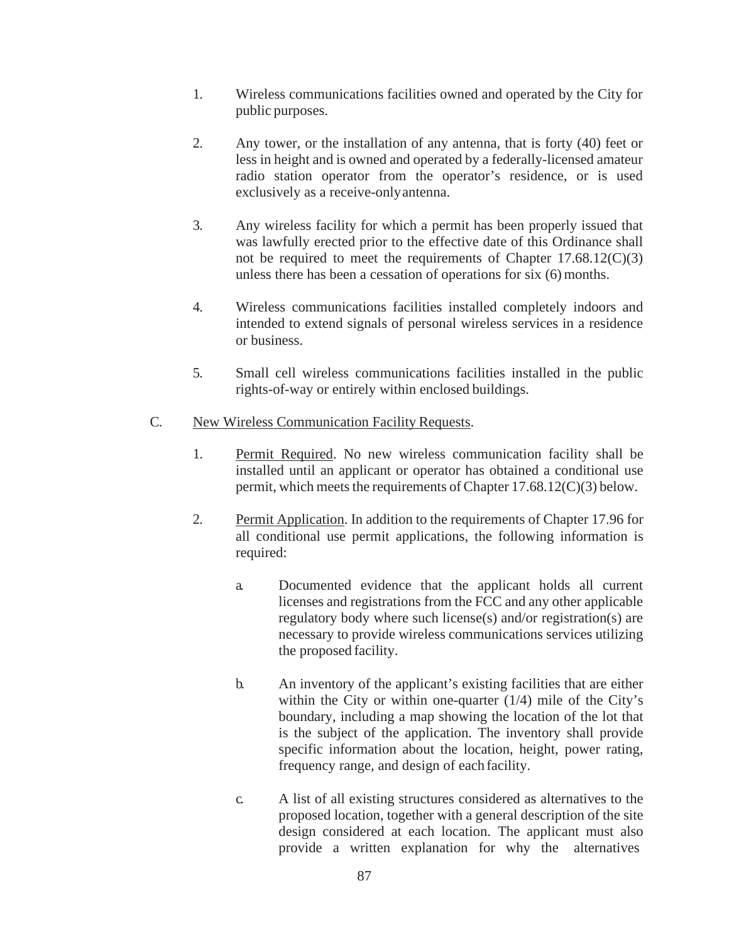- 1. Wireless communications facilities owned and operated by the City for public purposes.
- 2. Any tower, or the installation of any antenna, that is forty (40) feet or less in height and is owned and operated by a federally-licensed amateur radio station operator from the operator's residence, or is used exclusively as a receive-onlyantenna.
- 3. Any wireless facility for which a permit has been properly issued that was lawfully erected prior to the effective date of this Ordinance shall not be required to meet the requirements of Chapter 17.68.12(C)(3) unless there has been a cessation of operations for six (6) months.
- 4. Wireless communications facilities installed completely indoors and intended to extend signals of personal wireless services in a residence or business.
- 5. Small cell wireless communications facilities installed in the public rights-of-way or entirely within enclosed buildings.

# C. New Wireless Communication Facility Requests.

- 1. Permit Required. No new wireless communication facility shall be installed until an applicant or operator has obtained a conditional use permit, which meets the requirements of Chapter  $17.68.12(C)(3)$  below.
- 2. Permit Application. In addition to the requirements of Chapter 17.96 for all conditional use permit applications, the following information is required:
	- a. Documented evidence that the applicant holds all current licenses and registrations from the FCC and any other applicable regulatory body where such license(s) and/or registration(s) are necessary to provide wireless communications services utilizing the proposed facility.
	- b. An inventory of the applicant's existing facilities that are either within the City or within one-quarter (1/4) mile of the City's boundary, including a map showing the location of the lot that is the subject of the application. The inventory shall provide specific information about the location, height, power rating, frequency range, and design of each facility.
	- c. A list of all existing structures considered as alternatives to the proposed location, together with a general description of the site design considered at each location. The applicant must also provide a written explanation for why the alternatives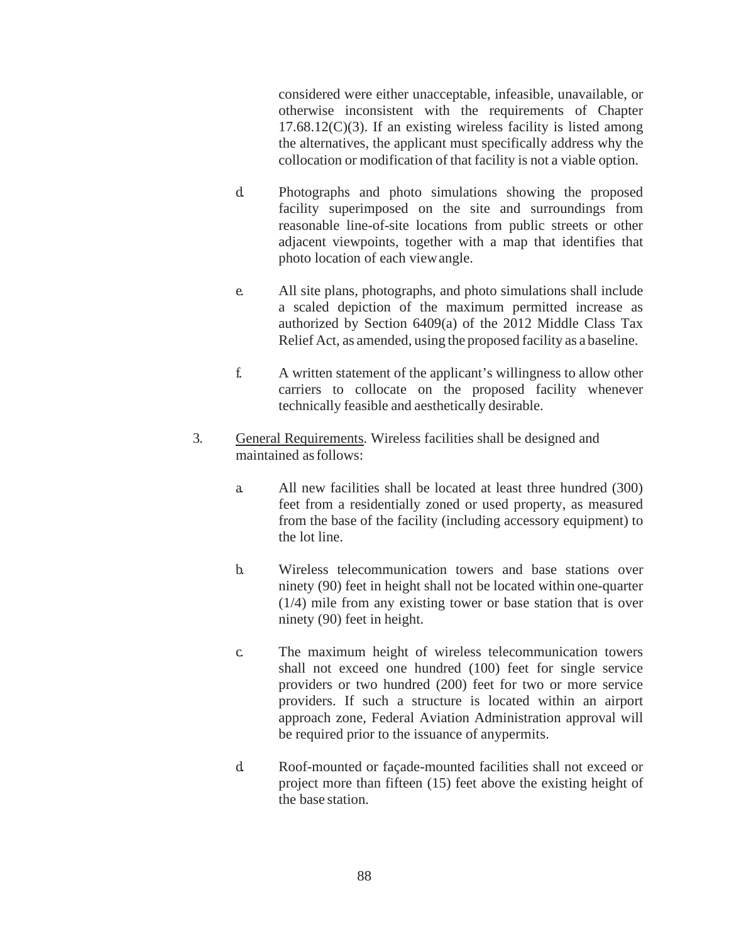considered were either unacceptable, infeasible, unavailable, or otherwise inconsistent with the requirements of Chapter  $17.68.12(C)(3)$ . If an existing wireless facility is listed among the alternatives, the applicant must specifically address why the collocation or modification of that facility is not a viable option.

- d. Photographs and photo simulations showing the proposed facility superimposed on the site and surroundings from reasonable line-of-site locations from public streets or other adjacent viewpoints, together with a map that identifies that photo location of each viewangle.
- e. All site plans, photographs, and photo simulations shall include a scaled depiction of the maximum permitted increase as authorized by Section 6409(a) of the 2012 Middle Class Tax Relief Act, as amended, using the proposed facility as a baseline.
- f. A written statement of the applicant's willingness to allow other carriers to collocate on the proposed facility whenever technically feasible and aesthetically desirable.
- 3. General Requirements. Wireless facilities shall be designed and maintained asfollows:
	- a. All new facilities shall be located at least three hundred (300) feet from a residentially zoned or used property, as measured from the base of the facility (including accessory equipment) to the lot line.
	- b. Wireless telecommunication towers and base stations over ninety (90) feet in height shall not be located within one-quarter (1/4) mile from any existing tower or base station that is over ninety (90) feet in height.
	- c. The maximum height of wireless telecommunication towers shall not exceed one hundred (100) feet for single service providers or two hundred (200) feet for two or more service providers. If such a structure is located within an airport approach zone, Federal Aviation Administration approval will be required prior to the issuance of anypermits.
	- d. Roof-mounted or façade-mounted facilities shall not exceed or project more than fifteen (15) feet above the existing height of the base station.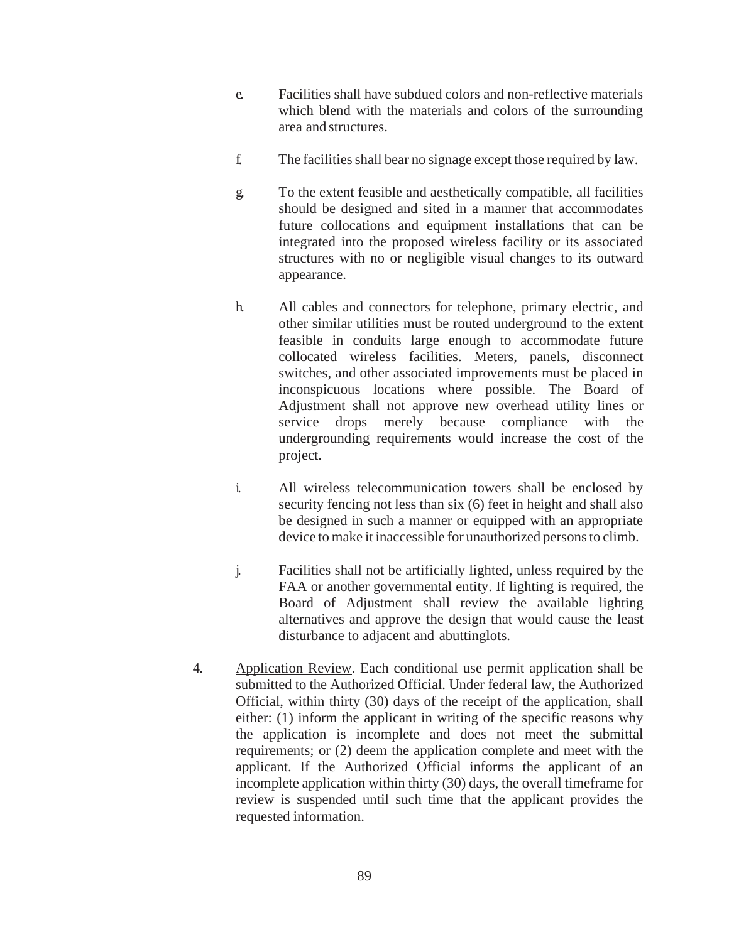- e. Facilities shall have subdued colors and non-reflective materials which blend with the materials and colors of the surrounding area and structures.
- f. The facilities shall bear no signage except those required by law.
- g. To the extent feasible and aesthetically compatible, all facilities should be designed and sited in a manner that accommodates future collocations and equipment installations that can be integrated into the proposed wireless facility or its associated structures with no or negligible visual changes to its outward appearance.
- h. All cables and connectors for telephone, primary electric, and other similar utilities must be routed underground to the extent feasible in conduits large enough to accommodate future collocated wireless facilities. Meters, panels, disconnect switches, and other associated improvements must be placed in inconspicuous locations where possible. The Board of Adjustment shall not approve new overhead utility lines or service drops merely because compliance with the undergrounding requirements would increase the cost of the project.
- i. All wireless telecommunication towers shall be enclosed by security fencing not less than six (6) feet in height and shall also be designed in such a manner or equipped with an appropriate device to make it inaccessible for unauthorized persons to climb.
- j. Facilities shall not be artificially lighted, unless required by the FAA or another governmental entity. If lighting is required, the Board of Adjustment shall review the available lighting alternatives and approve the design that would cause the least disturbance to adjacent and abuttinglots.
- 4. Application Review. Each conditional use permit application shall be submitted to the Authorized Official. Under federal law, the Authorized Official, within thirty (30) days of the receipt of the application, shall either: (1) inform the applicant in writing of the specific reasons why the application is incomplete and does not meet the submittal requirements; or (2) deem the application complete and meet with the applicant. If the Authorized Official informs the applicant of an incomplete application within thirty (30) days, the overall timeframe for review is suspended until such time that the applicant provides the requested information.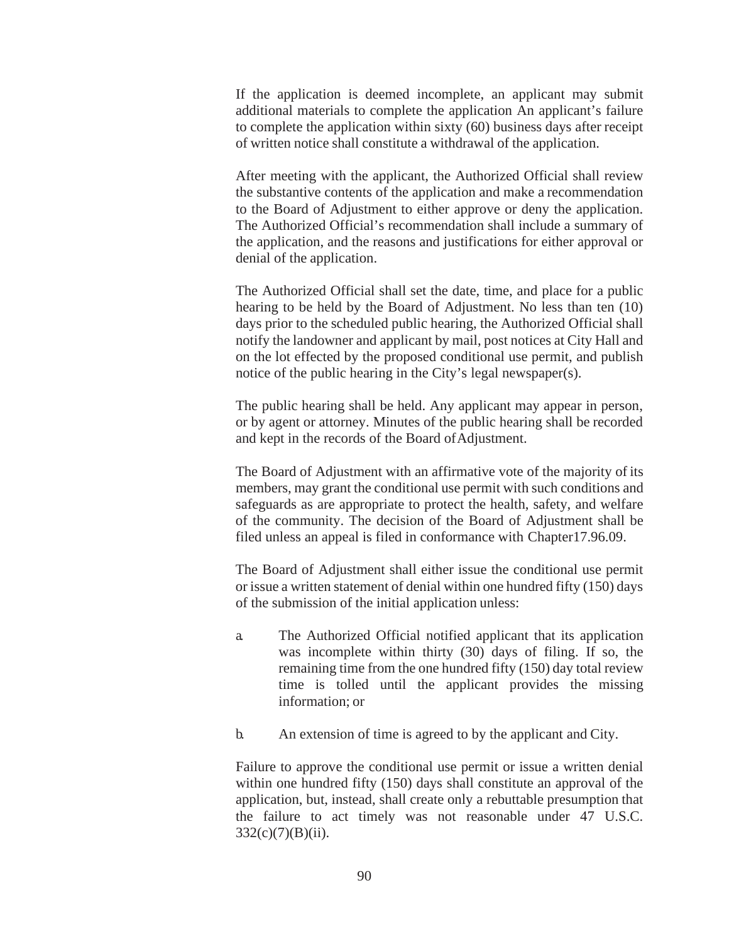If the application is deemed incomplete, an applicant may submit additional materials to complete the application An applicant's failure to complete the application within sixty (60) business days after receipt of written notice shall constitute a withdrawal of the application.

After meeting with the applicant, the Authorized Official shall review the substantive contents of the application and make a recommendation to the Board of Adjustment to either approve or deny the application. The Authorized Official's recommendation shall include a summary of the application, and the reasons and justifications for either approval or denial of the application.

The Authorized Official shall set the date, time, and place for a public hearing to be held by the Board of Adjustment. No less than ten (10) days prior to the scheduled public hearing, the Authorized Official shall notify the landowner and applicant by mail, post notices at City Hall and on the lot effected by the proposed conditional use permit, and publish notice of the public hearing in the City's legal newspaper(s).

The public hearing shall be held. Any applicant may appear in person, or by agent or attorney. Minutes of the public hearing shall be recorded and kept in the records of the Board ofAdjustment.

The Board of Adjustment with an affirmative vote of the majority of its members, may grant the conditional use permit with such conditions and safeguards as are appropriate to protect the health, safety, and welfare of the community. The decision of the Board of Adjustment shall be filed unless an appeal is filed in conformance with Chapter17.96.09.

The Board of Adjustment shall either issue the conditional use permit or issue a written statement of denial within one hundred fifty (150) days of the submission of the initial application unless:

- a. The Authorized Official notified applicant that its application was incomplete within thirty (30) days of filing. If so, the remaining time from the one hundred fifty (150) day total review time is tolled until the applicant provides the missing information; or
- b. An extension of time is agreed to by the applicant and City.

Failure to approve the conditional use permit or issue a written denial within one hundred fifty (150) days shall constitute an approval of the application, but, instead, shall create only a rebuttable presumption that the failure to act timely was not reasonable under 47 U.S.C.  $332(c)(7)(B)(ii)$ .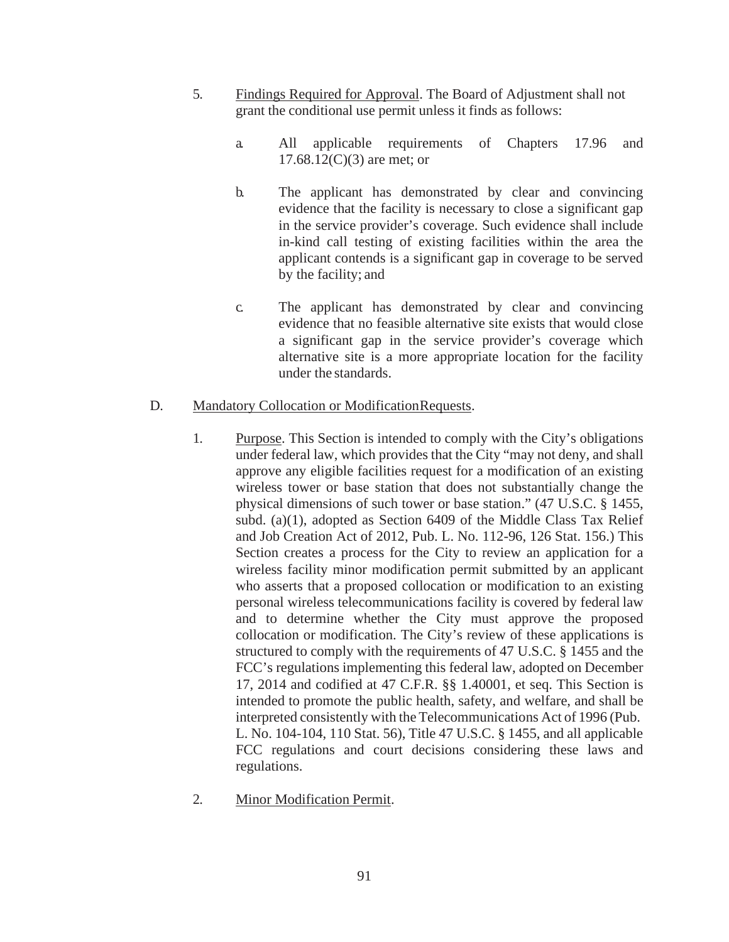- 5. Findings Required for Approval. The Board of Adjustment shall not grant the conditional use permit unless it finds as follows:
	- a. All applicable requirements of Chapters 17.96 and  $17.68.12(C)(3)$  are met; or
	- b. The applicant has demonstrated by clear and convincing evidence that the facility is necessary to close a significant gap in the service provider's coverage. Such evidence shall include in-kind call testing of existing facilities within the area the applicant contends is a significant gap in coverage to be served by the facility; and
	- c. The applicant has demonstrated by clear and convincing evidence that no feasible alternative site exists that would close a significant gap in the service provider's coverage which alternative site is a more appropriate location for the facility under the standards.

## D. Mandatory Collocation or ModificationRequests.

- 1. Purpose. This Section is intended to comply with the City's obligations under federal law, which provides that the City "may not deny, and shall approve any eligible facilities request for a modification of an existing wireless tower or base station that does not substantially change the physical dimensions of such tower or base station." (47 U.S.C. § 1455, subd. (a)(1), adopted as Section 6409 of the Middle Class Tax Relief and Job Creation Act of 2012, Pub. L. No. 112-96, 126 Stat. 156.) This Section creates a process for the City to review an application for a wireless facility minor modification permit submitted by an applicant who asserts that a proposed collocation or modification to an existing personal wireless telecommunications facility is covered by federal law and to determine whether the City must approve the proposed collocation or modification. The City's review of these applications is structured to comply with the requirements of 47 U.S.C. § 1455 and the FCC's regulations implementing this federal law, adopted on December 17, 2014 and codified at 47 C.F.R. §§ 1.40001, et seq. This Section is intended to promote the public health, safety, and welfare, and shall be interpreted consistently with the Telecommunications Act of 1996 (Pub. L. No. 104-104, 110 Stat. 56), Title 47 U.S.C. § 1455, and all applicable FCC regulations and court decisions considering these laws and regulations.
- 2. Minor Modification Permit.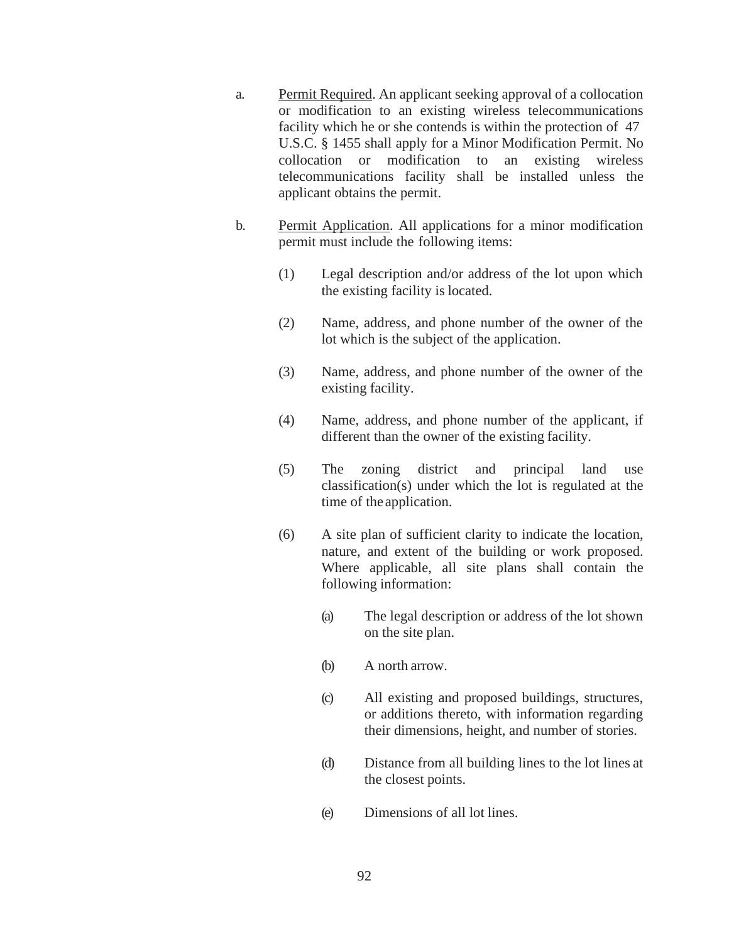- a. Permit Required. An applicant seeking approval of a collocation or modification to an existing wireless telecommunications facility which he or she contends is within the protection of 47 U.S.C. § 1455 shall apply for a Minor Modification Permit. No collocation or modification to an existing wireless telecommunications facility shall be installed unless the applicant obtains the permit.
- b. Permit Application. All applications for a minor modification permit must include the following items:
	- (1) Legal description and/or address of the lot upon which the existing facility is located.
	- (2) Name, address, and phone number of the owner of the lot which is the subject of the application.
	- (3) Name, address, and phone number of the owner of the existing facility.
	- (4) Name, address, and phone number of the applicant, if different than the owner of the existing facility.
	- (5) The zoning district and principal land use classification(s) under which the lot is regulated at the time of the application.
	- (6) A site plan of sufficient clarity to indicate the location, nature, and extent of the building or work proposed. Where applicable, all site plans shall contain the following information:
		- (a) The legal description or address of the lot shown on the site plan.
		- (b) A north arrow.
		- (c) All existing and proposed buildings, structures, or additions thereto, with information regarding their dimensions, height, and number of stories.
		- (d) Distance from all building lines to the lot lines at the closest points.
		- (e) Dimensions of all lot lines.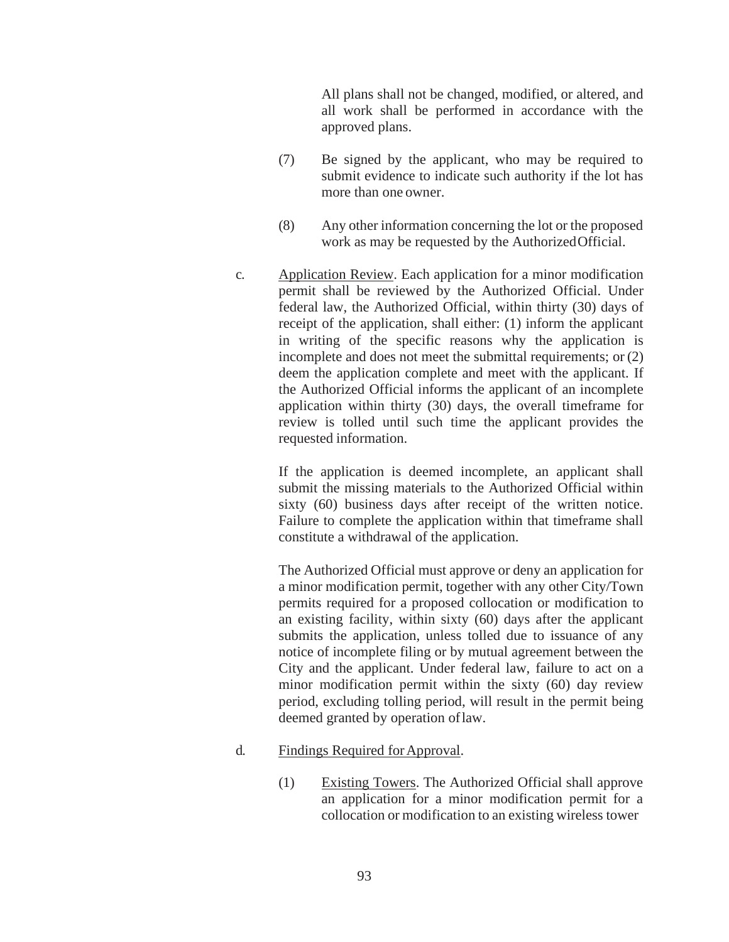All plans shall not be changed, modified, or altered, and all work shall be performed in accordance with the approved plans.

- (7) Be signed by the applicant, who may be required to submit evidence to indicate such authority if the lot has more than one owner.
- (8) Any other information concerning the lot or the proposed work as may be requested by the AuthorizedOfficial.
- c. Application Review. Each application for a minor modification permit shall be reviewed by the Authorized Official. Under federal law, the Authorized Official, within thirty (30) days of receipt of the application, shall either: (1) inform the applicant in writing of the specific reasons why the application is incomplete and does not meet the submittal requirements; or (2) deem the application complete and meet with the applicant. If the Authorized Official informs the applicant of an incomplete application within thirty (30) days, the overall timeframe for review is tolled until such time the applicant provides the requested information.

If the application is deemed incomplete, an applicant shall submit the missing materials to the Authorized Official within sixty (60) business days after receipt of the written notice. Failure to complete the application within that timeframe shall constitute a withdrawal of the application.

The Authorized Official must approve or deny an application for a minor modification permit, together with any other City/Town permits required for a proposed collocation or modification to an existing facility, within sixty (60) days after the applicant submits the application, unless tolled due to issuance of any notice of incomplete filing or by mutual agreement between the City and the applicant. Under federal law, failure to act on a minor modification permit within the sixty (60) day review period, excluding tolling period, will result in the permit being deemed granted by operation oflaw.

#### d. Findings Required forApproval.

(1) Existing Towers. The Authorized Official shall approve an application for a minor modification permit for a collocation or modification to an existing wireless tower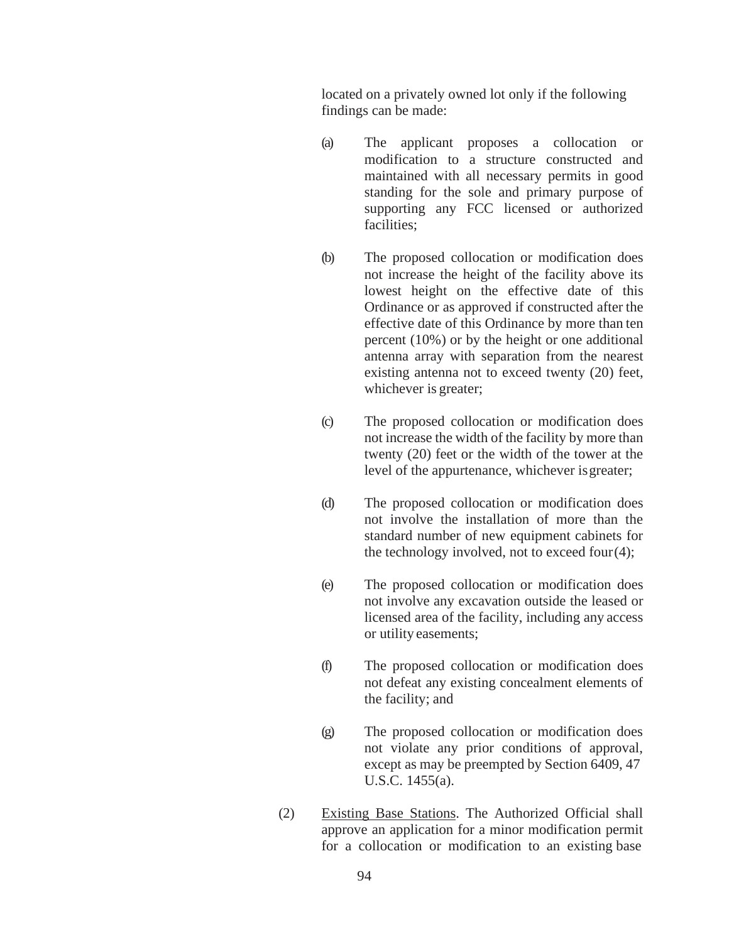located on a privately owned lot only if the following findings can be made:

- (a) The applicant proposes a collocation or modification to a structure constructed and maintained with all necessary permits in good standing for the sole and primary purpose of supporting any FCC licensed or authorized facilities;
- (b) The proposed collocation or modification does not increase the height of the facility above its lowest height on the effective date of this Ordinance or as approved if constructed after the effective date of this Ordinance by more than ten percent (10%) or by the height or one additional antenna array with separation from the nearest existing antenna not to exceed twenty (20) feet, whichever is greater;
- (c) The proposed collocation or modification does not increase the width of the facility by more than twenty (20) feet or the width of the tower at the level of the appurtenance, whichever isgreater;
- (d) The proposed collocation or modification does not involve the installation of more than the standard number of new equipment cabinets for the technology involved, not to exceed four $(4)$ ;
- (e) The proposed collocation or modification does not involve any excavation outside the leased or licensed area of the facility, including any access or utility easements;
- (f) The proposed collocation or modification does not defeat any existing concealment elements of the facility; and
- (g) The proposed collocation or modification does not violate any prior conditions of approval, except as may be preempted by Section 6409, 47 U.S.C. 1455(a).
- (2) Existing Base Stations. The Authorized Official shall approve an application for a minor modification permit for a collocation or modification to an existing base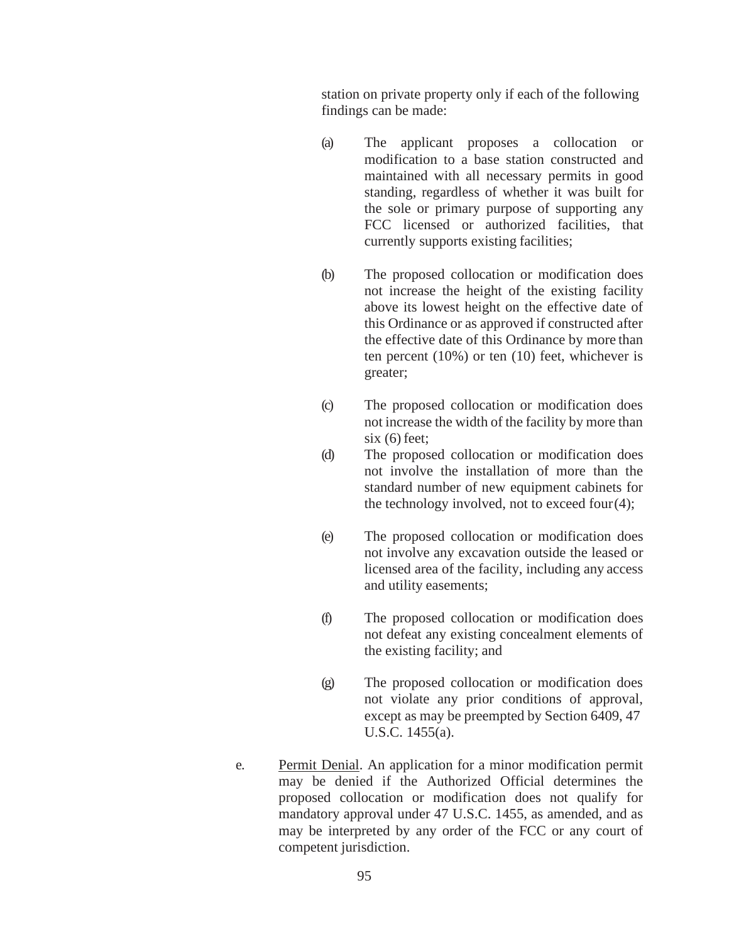station on private property only if each of the following findings can be made:

- (a) The applicant proposes a collocation or modification to a base station constructed and maintained with all necessary permits in good standing, regardless of whether it was built for the sole or primary purpose of supporting any FCC licensed or authorized facilities, that currently supports existing facilities;
- (b) The proposed collocation or modification does not increase the height of the existing facility above its lowest height on the effective date of this Ordinance or as approved if constructed after the effective date of this Ordinance by more than ten percent (10%) or ten (10) feet, whichever is greater;
- (c) The proposed collocation or modification does not increase the width of the facility by more than  $six(6) feet;$
- (d) The proposed collocation or modification does not involve the installation of more than the standard number of new equipment cabinets for the technology involved, not to exceed four $(4)$ ;
- (e) The proposed collocation or modification does not involve any excavation outside the leased or licensed area of the facility, including any access and utility easements;
- (f) The proposed collocation or modification does not defeat any existing concealment elements of the existing facility; and
- (g) The proposed collocation or modification does not violate any prior conditions of approval, except as may be preempted by Section 6409, 47 U.S.C. 1455(a).
- e. Permit Denial. An application for a minor modification permit may be denied if the Authorized Official determines the proposed collocation or modification does not qualify for mandatory approval under 47 U.S.C. 1455, as amended, and as may be interpreted by any order of the FCC or any court of competent jurisdiction.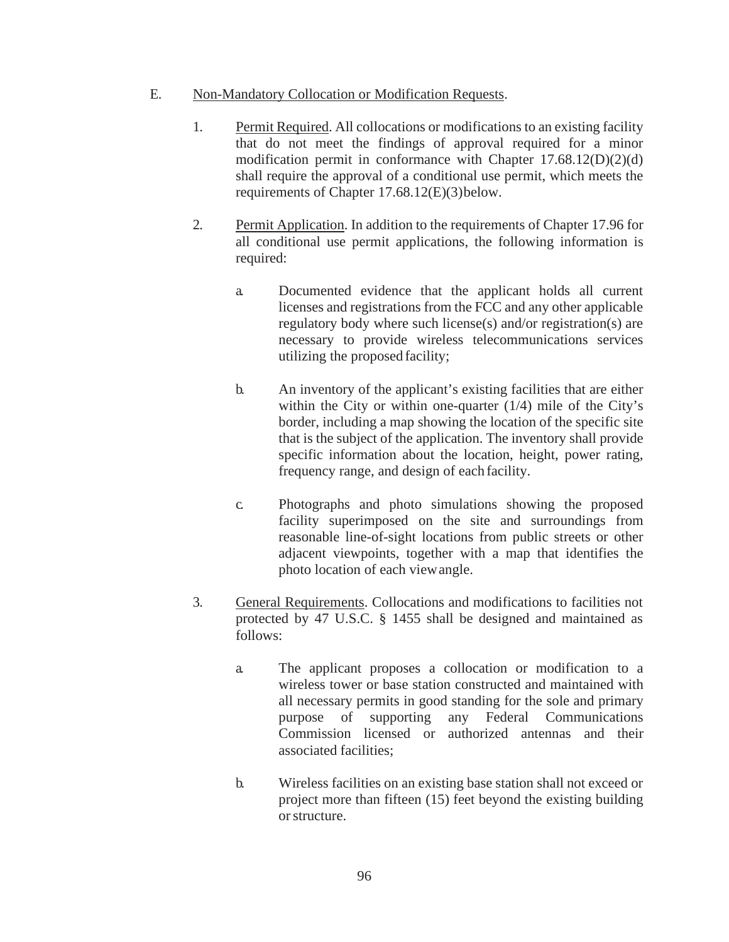- E. Non-Mandatory Collocation or Modification Requests.
	- 1. Permit Required. All collocations or modifications to an existing facility that do not meet the findings of approval required for a minor modification permit in conformance with Chapter 17.68.12(D)(2)(d) shall require the approval of a conditional use permit, which meets the requirements of Chapter 17.68.12(E)(3)below.
	- 2. Permit Application. In addition to the requirements of Chapter 17.96 for all conditional use permit applications, the following information is required:
		- a. Documented evidence that the applicant holds all current licenses and registrations from the FCC and any other applicable regulatory body where such license(s) and/or registration(s) are necessary to provide wireless telecommunications services utilizing the proposed facility;
		- b. An inventory of the applicant's existing facilities that are either within the City or within one-quarter (1/4) mile of the City's border, including a map showing the location of the specific site that is the subject of the application. The inventory shall provide specific information about the location, height, power rating, frequency range, and design of each facility.
		- c. Photographs and photo simulations showing the proposed facility superimposed on the site and surroundings from reasonable line-of-sight locations from public streets or other adjacent viewpoints, together with a map that identifies the photo location of each viewangle.
	- 3. General Requirements. Collocations and modifications to facilities not protected by 47 U.S.C. § 1455 shall be designed and maintained as follows:
		- a. The applicant proposes a collocation or modification to a wireless tower or base station constructed and maintained with all necessary permits in good standing for the sole and primary purpose of supporting any Federal Communications Commission licensed or authorized antennas and their associated facilities;
		- b. Wireless facilities on an existing base station shall not exceed or project more than fifteen (15) feet beyond the existing building orstructure.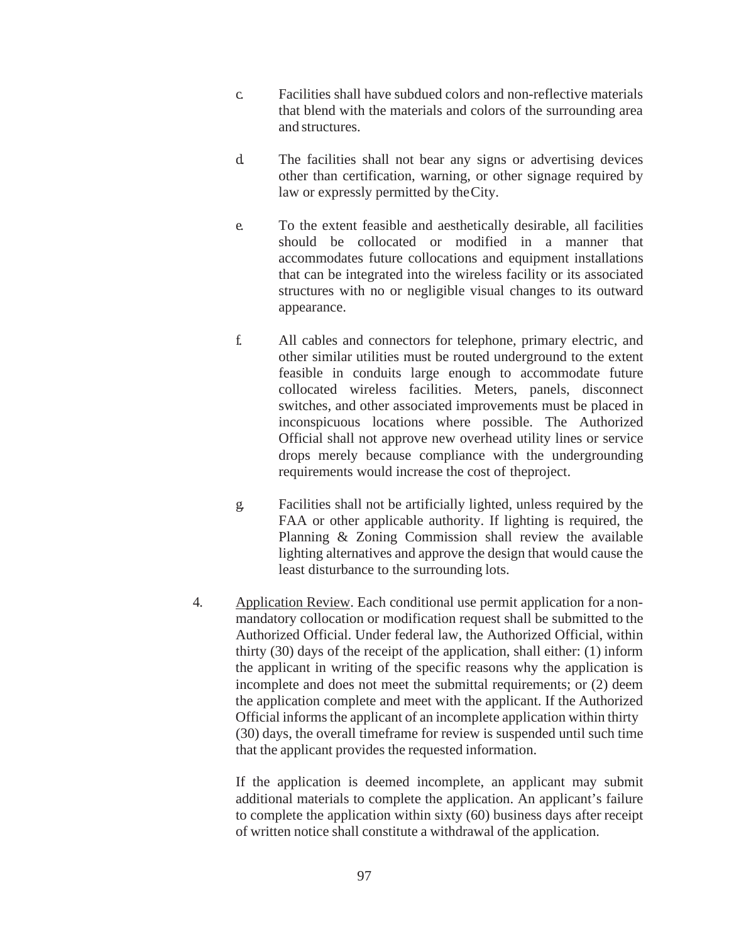- c. Facilities shall have subdued colors and non-reflective materials that blend with the materials and colors of the surrounding area and structures.
- d. The facilities shall not bear any signs or advertising devices other than certification, warning, or other signage required by law or expressly permitted by theCity.
- e. To the extent feasible and aesthetically desirable, all facilities should be collocated or modified in a manner that accommodates future collocations and equipment installations that can be integrated into the wireless facility or its associated structures with no or negligible visual changes to its outward appearance.
- f. All cables and connectors for telephone, primary electric, and other similar utilities must be routed underground to the extent feasible in conduits large enough to accommodate future collocated wireless facilities. Meters, panels, disconnect switches, and other associated improvements must be placed in inconspicuous locations where possible. The Authorized Official shall not approve new overhead utility lines or service drops merely because compliance with the undergrounding requirements would increase the cost of theproject.
- g. Facilities shall not be artificially lighted, unless required by the FAA or other applicable authority. If lighting is required, the Planning & Zoning Commission shall review the available lighting alternatives and approve the design that would cause the least disturbance to the surrounding lots.
- 4. Application Review. Each conditional use permit application for a nonmandatory collocation or modification request shall be submitted to the Authorized Official. Under federal law, the Authorized Official, within thirty (30) days of the receipt of the application, shall either: (1) inform the applicant in writing of the specific reasons why the application is incomplete and does not meet the submittal requirements; or (2) deem the application complete and meet with the applicant. If the Authorized Official informs the applicant of an incomplete application within thirty (30) days, the overall timeframe for review is suspended until such time that the applicant provides the requested information.

If the application is deemed incomplete, an applicant may submit additional materials to complete the application. An applicant's failure to complete the application within sixty (60) business days after receipt of written notice shall constitute a withdrawal of the application.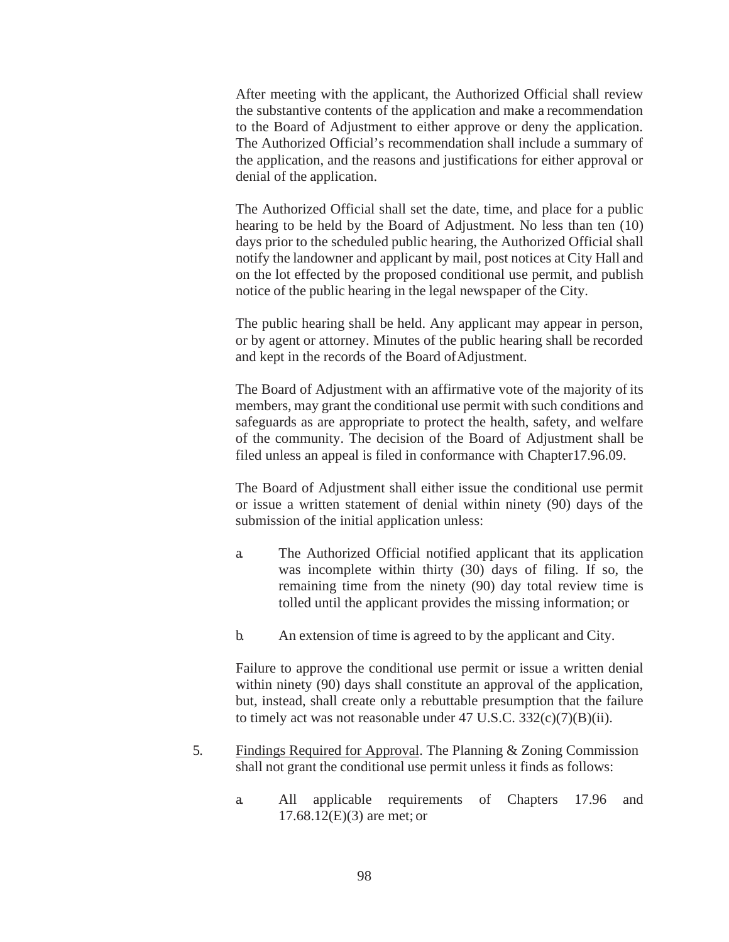After meeting with the applicant, the Authorized Official shall review the substantive contents of the application and make a recommendation to the Board of Adjustment to either approve or deny the application. The Authorized Official's recommendation shall include a summary of the application, and the reasons and justifications for either approval or denial of the application.

The Authorized Official shall set the date, time, and place for a public hearing to be held by the Board of Adjustment. No less than ten (10) days prior to the scheduled public hearing, the Authorized Official shall notify the landowner and applicant by mail, post notices at City Hall and on the lot effected by the proposed conditional use permit, and publish notice of the public hearing in the legal newspaper of the City.

The public hearing shall be held. Any applicant may appear in person, or by agent or attorney. Minutes of the public hearing shall be recorded and kept in the records of the Board of Adjustment.

The Board of Adjustment with an affirmative vote of the majority of its members, may grant the conditional use permit with such conditions and safeguards as are appropriate to protect the health, safety, and welfare of the community. The decision of the Board of Adjustment shall be filed unless an appeal is filed in conformance with Chapter17.96.09.

The Board of Adjustment shall either issue the conditional use permit or issue a written statement of denial within ninety (90) days of the submission of the initial application unless:

- a. The Authorized Official notified applicant that its application was incomplete within thirty (30) days of filing. If so, the remaining time from the ninety (90) day total review time is tolled until the applicant provides the missing information; or
- b. An extension of time is agreed to by the applicant and City.

Failure to approve the conditional use permit or issue a written denial within ninety (90) days shall constitute an approval of the application, but, instead, shall create only a rebuttable presumption that the failure to timely act was not reasonable under  $47 \text{ U.S.C. } 332(\text{c})(7)(\text{B})(\text{ii}).$ 

- 5. Findings Required for Approval. The Planning & Zoning Commission shall not grant the conditional use permit unless it finds as follows:
	- a. All applicable requirements of Chapters 17.96 and 17.68.12(E)(3) are met; or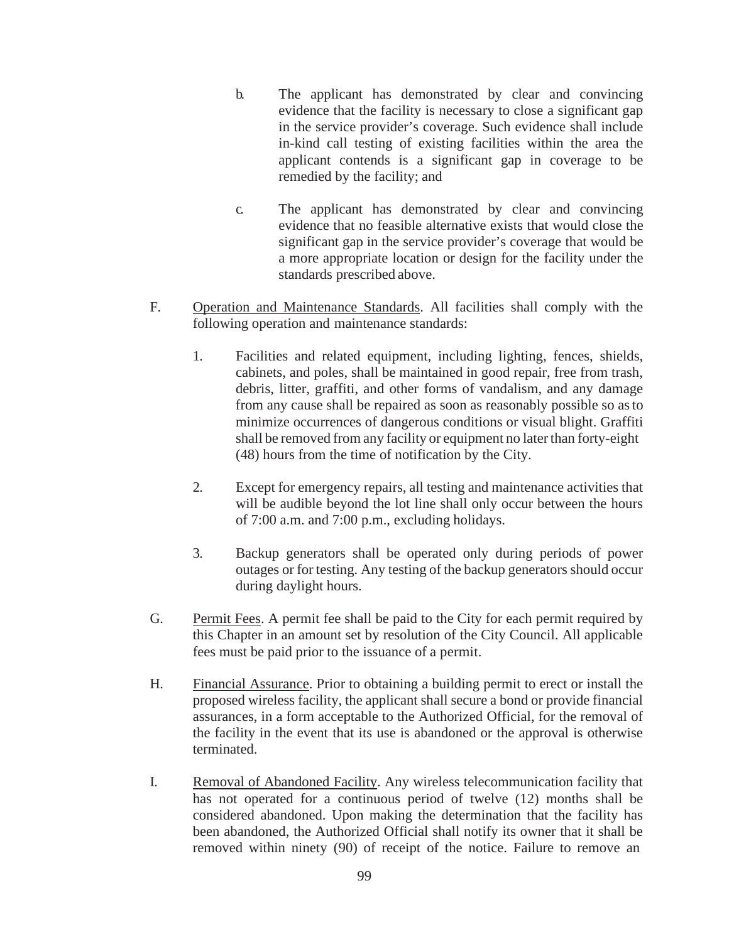- b. The applicant has demonstrated by clear and convincing evidence that the facility is necessary to close a significant gap in the service provider's coverage. Such evidence shall include in-kind call testing of existing facilities within the area the applicant contends is a significant gap in coverage to be remedied by the facility; and
- c. The applicant has demonstrated by clear and convincing evidence that no feasible alternative exists that would close the significant gap in the service provider's coverage that would be a more appropriate location or design for the facility under the standards prescribed above.
- F. Operation and Maintenance Standards. All facilities shall comply with the following operation and maintenance standards:
	- 1. Facilities and related equipment, including lighting, fences, shields, cabinets, and poles, shall be maintained in good repair, free from trash, debris, litter, graffiti, and other forms of vandalism, and any damage from any cause shall be repaired as soon as reasonably possible so asto minimize occurrences of dangerous conditions or visual blight. Graffiti shall be removed from any facility or equipment no laterthan forty-eight (48) hours from the time of notification by the City.
	- 2. Except for emergency repairs, all testing and maintenance activities that will be audible beyond the lot line shall only occur between the hours of 7:00 a.m. and 7:00 p.m., excluding holidays.
	- 3. Backup generators shall be operated only during periods of power outages or for testing. Any testing of the backup generators should occur during daylight hours.
- G. Permit Fees. A permit fee shall be paid to the City for each permit required by this Chapter in an amount set by resolution of the City Council. All applicable fees must be paid prior to the issuance of a permit.
- H. Financial Assurance. Prior to obtaining a building permit to erect or install the proposed wireless facility, the applicant shall secure a bond or provide financial assurances, in a form acceptable to the Authorized Official, for the removal of the facility in the event that its use is abandoned or the approval is otherwise terminated.
- I. Removal of Abandoned Facility. Any wireless telecommunication facility that has not operated for a continuous period of twelve (12) months shall be considered abandoned. Upon making the determination that the facility has been abandoned, the Authorized Official shall notify its owner that it shall be removed within ninety (90) of receipt of the notice. Failure to remove an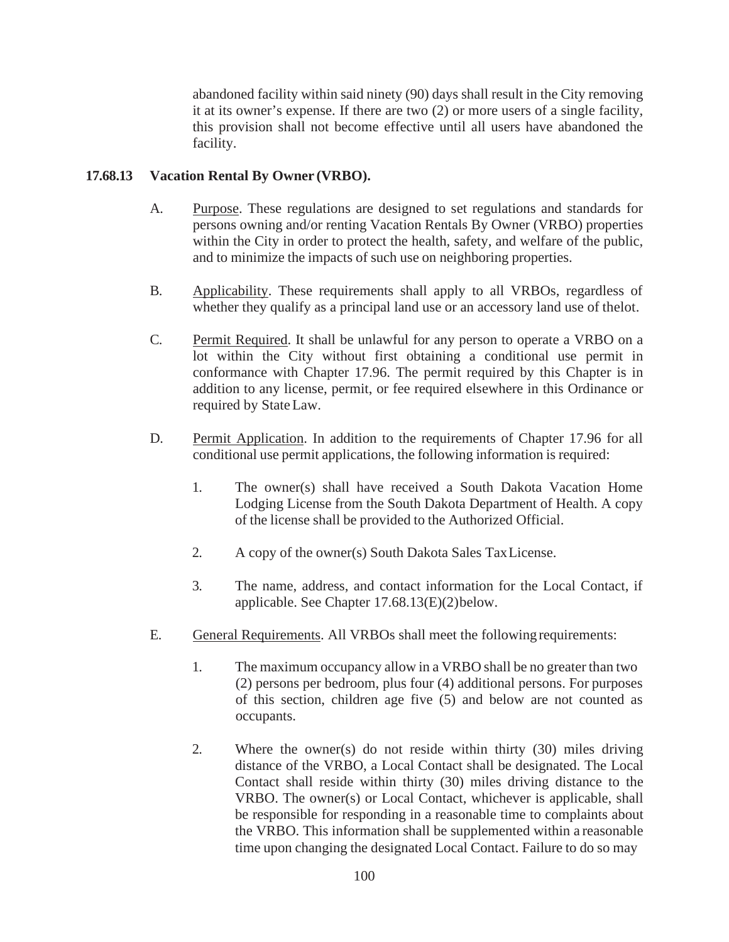abandoned facility within said ninety (90) days shall result in the City removing it at its owner's expense. If there are two (2) or more users of a single facility, this provision shall not become effective until all users have abandoned the facility.

## <span id="page-48-0"></span>**17.68.13 Vacation Rental By Owner (VRBO).**

- A. Purpose. These regulations are designed to set regulations and standards for persons owning and/or renting Vacation Rentals By Owner (VRBO) properties within the City in order to protect the health, safety, and welfare of the public, and to minimize the impacts of such use on neighboring properties.
- B. Applicability. These requirements shall apply to all VRBOs, regardless of whether they qualify as a principal land use or an accessory land use of thelot.
- C. Permit Required. It shall be unlawful for any person to operate a VRBO on a lot within the City without first obtaining a conditional use permit in conformance with Chapter 17.96. The permit required by this Chapter is in addition to any license, permit, or fee required elsewhere in this Ordinance or required by StateLaw.
- D. Permit Application. In addition to the requirements of Chapter 17.96 for all conditional use permit applications, the following information is required:
	- 1. The owner(s) shall have received a South Dakota Vacation Home Lodging License from the South Dakota Department of Health. A copy of the license shall be provided to the Authorized Official.
	- 2. A copy of the owner(s) South Dakota Sales TaxLicense.
	- 3. The name, address, and contact information for the Local Contact, if applicable. See Chapter 17.68.13(E)(2)below.
- E. General Requirements. All VRBOs shall meet the followingrequirements:
	- 1. The maximum occupancy allow in a VRBO shall be no greater than two (2) persons per bedroom, plus four (4) additional persons. For purposes of this section, children age five (5) and below are not counted as occupants.
	- 2. Where the owner(s) do not reside within thirty (30) miles driving distance of the VRBO, a Local Contact shall be designated. The Local Contact shall reside within thirty (30) miles driving distance to the VRBO. The owner(s) or Local Contact, whichever is applicable, shall be responsible for responding in a reasonable time to complaints about the VRBO. This information shall be supplemented within a reasonable time upon changing the designated Local Contact. Failure to do so may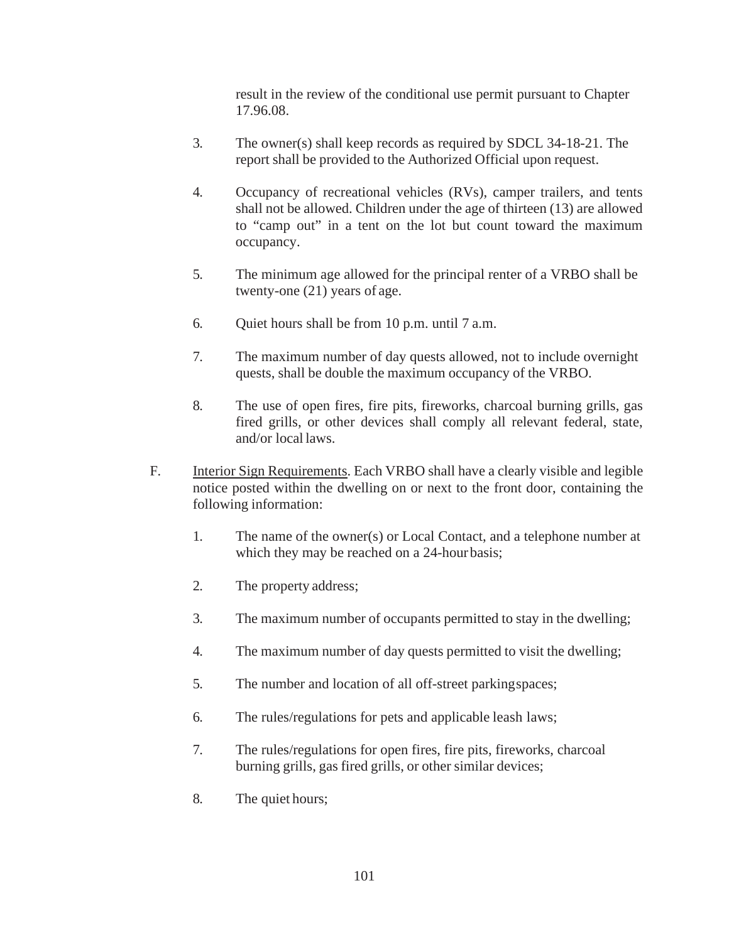result in the review of the conditional use permit pursuant to Chapter 17.96.08.

- 3. The owner(s) shall keep records as required by SDCL 34-18-21. The report shall be provided to the Authorized Official upon request.
- 4. Occupancy of recreational vehicles (RVs), camper trailers, and tents shall not be allowed. Children under the age of thirteen (13) are allowed to "camp out" in a tent on the lot but count toward the maximum occupancy.
- 5. The minimum age allowed for the principal renter of a VRBO shall be twenty-one (21) years of age.
- 6. Quiet hours shall be from 10 p.m. until 7 a.m.
- 7. The maximum number of day quests allowed, not to include overnight quests, shall be double the maximum occupancy of the VRBO.
- 8. The use of open fires, fire pits, fireworks, charcoal burning grills, gas fired grills, or other devices shall comply all relevant federal, state, and/or local laws.
- F. Interior Sign Requirements. Each VRBO shall have a clearly visible and legible notice posted within the dwelling on or next to the front door, containing the following information:
	- 1. The name of the owner(s) or Local Contact, and a telephone number at which they may be reached on a 24-hourbasis;
	- 2. The property address;
	- 3. The maximum number of occupants permitted to stay in the dwelling;
	- 4. The maximum number of day quests permitted to visit the dwelling;
	- 5. The number and location of all off-street parkingspaces;
	- 6. The rules/regulations for pets and applicable leash laws;
	- 7. The rules/regulations for open fires, fire pits, fireworks, charcoal burning grills, gas fired grills, or other similar devices;
	- 8. The quiet hours;